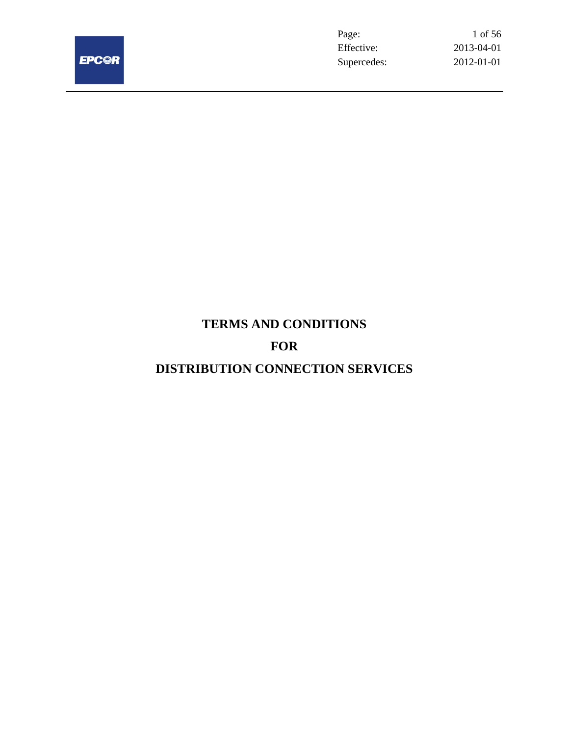

Page: 1 of 56 Effective: 2013-04-01 Supercedes: 2012-01-01

# **TERMS AND CONDITIONS FOR**

# **DISTRIBUTION CONNECTION SERVICES**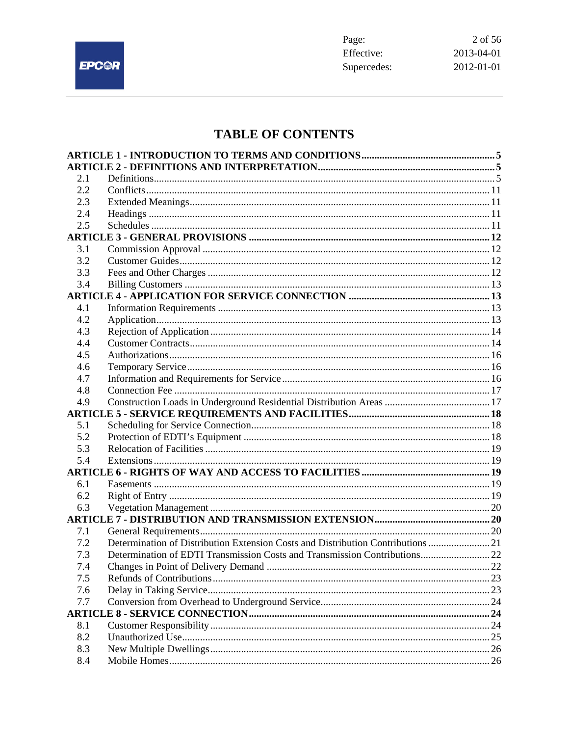

# **TABLE OF CONTENTS**

| 2.1 |                                                                                  |  |
|-----|----------------------------------------------------------------------------------|--|
| 2.2 |                                                                                  |  |
| 2.3 |                                                                                  |  |
| 2.4 |                                                                                  |  |
| 2.5 |                                                                                  |  |
|     |                                                                                  |  |
| 3.1 |                                                                                  |  |
| 3.2 |                                                                                  |  |
| 3.3 |                                                                                  |  |
| 3.4 |                                                                                  |  |
|     |                                                                                  |  |
| 4.1 |                                                                                  |  |
| 4.2 |                                                                                  |  |
| 4.3 |                                                                                  |  |
| 4.4 |                                                                                  |  |
| 4.5 |                                                                                  |  |
| 4.6 |                                                                                  |  |
| 4.7 |                                                                                  |  |
| 4.8 |                                                                                  |  |
| 4.9 |                                                                                  |  |
|     |                                                                                  |  |
| 5.1 |                                                                                  |  |
| 5.2 |                                                                                  |  |
| 5.3 |                                                                                  |  |
| 5.4 |                                                                                  |  |
|     |                                                                                  |  |
| 6.1 |                                                                                  |  |
| 6.2 |                                                                                  |  |
| 6.3 |                                                                                  |  |
|     |                                                                                  |  |
| 7.1 |                                                                                  |  |
| 7.2 | Determination of Distribution Extension Costs and Distribution Contributions  21 |  |
| 7.3 | Determination of EDTI Transmission Costs and Transmission Contributions 22       |  |
| 74  | Changes in Point of Delivery Demand                                              |  |
| 7.5 |                                                                                  |  |
| 7.6 |                                                                                  |  |
| 7.7 |                                                                                  |  |
|     |                                                                                  |  |
| 8.1 |                                                                                  |  |
| 8.2 |                                                                                  |  |
| 8.3 |                                                                                  |  |
| 8.4 |                                                                                  |  |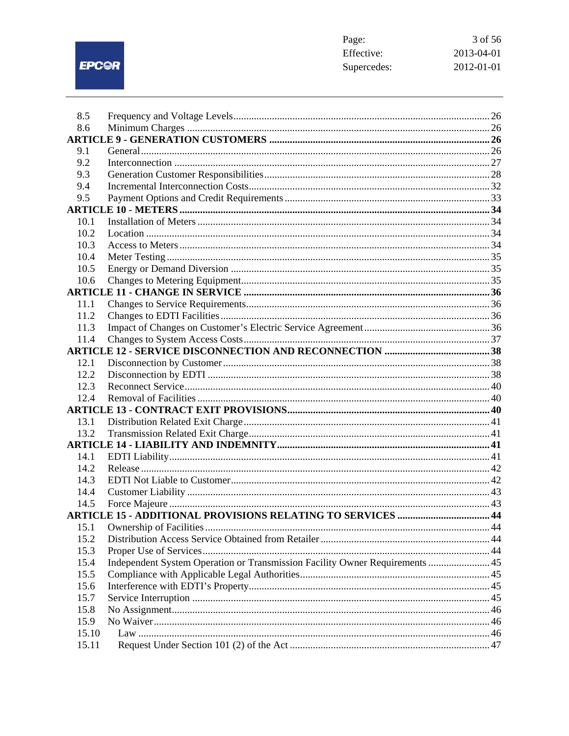EPC@R

| 3 of 56    |
|------------|
| 2013-04-01 |
| 2012-01-01 |
|            |

| 8.5   |                                                                              |  |
|-------|------------------------------------------------------------------------------|--|
| 8.6   |                                                                              |  |
|       |                                                                              |  |
| 9.1   |                                                                              |  |
| 9.2   |                                                                              |  |
| 9.3   |                                                                              |  |
| 9.4   |                                                                              |  |
| 9.5   |                                                                              |  |
|       |                                                                              |  |
| 10.1  |                                                                              |  |
| 10.2  |                                                                              |  |
| 10.3  |                                                                              |  |
| 10.4  |                                                                              |  |
| 10.5  |                                                                              |  |
| 10.6  |                                                                              |  |
|       |                                                                              |  |
| 11.1  |                                                                              |  |
| 11.2  |                                                                              |  |
| 11.3  |                                                                              |  |
| 11.4  |                                                                              |  |
|       |                                                                              |  |
| 12.1  |                                                                              |  |
| 12.2  |                                                                              |  |
| 12.3  |                                                                              |  |
| 12.4  |                                                                              |  |
|       |                                                                              |  |
| 13.1  |                                                                              |  |
| 13.2  |                                                                              |  |
|       |                                                                              |  |
| 14.1  |                                                                              |  |
|       |                                                                              |  |
| 14.2  |                                                                              |  |
| 14.3  |                                                                              |  |
| 14.4  |                                                                              |  |
| 14.5  | <b>ARTICLE 15 - ADDITIONAL PROVISIONS RELATING TO SERVICES  44</b>           |  |
|       |                                                                              |  |
| 15.1  |                                                                              |  |
| 15.2  |                                                                              |  |
| 15.3  |                                                                              |  |
| 15.4  | Independent System Operation or Transmission Facility Owner Requirements  45 |  |
| 15.5  |                                                                              |  |
| 15.6  |                                                                              |  |
| 15.7  |                                                                              |  |
| 15.8  |                                                                              |  |
| 15.9  |                                                                              |  |
| 15.10 |                                                                              |  |
| 15.11 |                                                                              |  |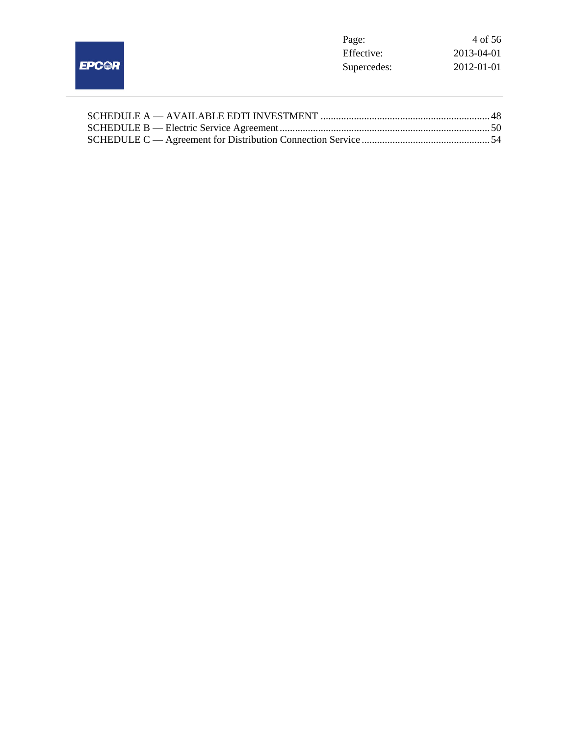|              | Page:       | 4 of 56    |
|--------------|-------------|------------|
|              | Effective:  | 2013-04-01 |
| <b>EPC@R</b> | Supercedes: | 2012-01-01 |
|              |             |            |
|              |             |            |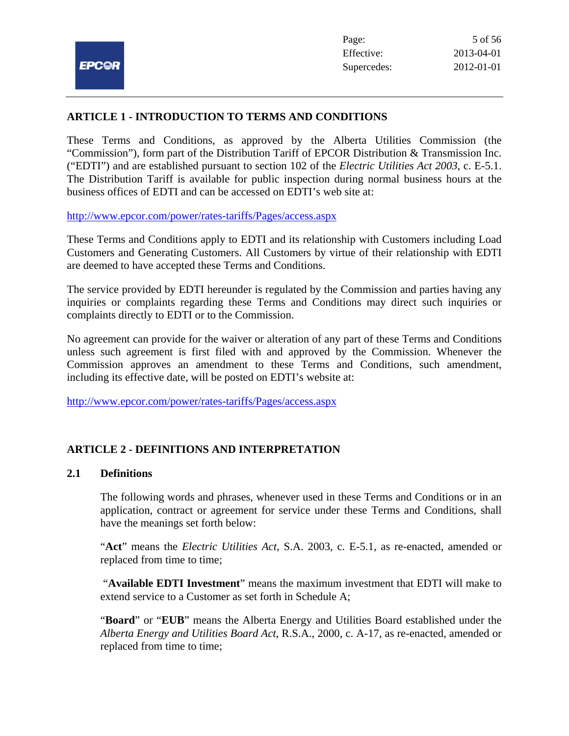# **ARTICLE 1 - INTRODUCTION TO TERMS AND CONDITIONS**

These Terms and Conditions, as approved by the Alberta Utilities Commission (the "Commission"), form part of the Distribution Tariff of EPCOR Distribution & Transmission Inc. ("EDTI") and are established pursuant to section 102 of the *Electric Utilities Act 2003*, c. E-5.1. The Distribution Tariff is available for public inspection during normal business hours at the business offices of EDTI and can be accessed on EDTI's web site at:

http://www.epcor.com/power/rates-tariffs/Pages/access.aspx

These Terms and Conditions apply to EDTI and its relationship with Customers including Load Customers and Generating Customers. All Customers by virtue of their relationship with EDTI are deemed to have accepted these Terms and Conditions.

The service provided by EDTI hereunder is regulated by the Commission and parties having any inquiries or complaints regarding these Terms and Conditions may direct such inquiries or complaints directly to EDTI or to the Commission.

No agreement can provide for the waiver or alteration of any part of these Terms and Conditions unless such agreement is first filed with and approved by the Commission. Whenever the Commission approves an amendment to these Terms and Conditions, such amendment, including its effective date, will be posted on EDTI's website at:

http://www.epcor.com/power/rates-tariffs/Pages/access.aspx

# **ARTICLE 2 - DEFINITIONS AND INTERPRETATION**

# **2.1 Definitions**

The following words and phrases, whenever used in these Terms and Conditions or in an application, contract or agreement for service under these Terms and Conditions, shall have the meanings set forth below:

"**Act**" means the *Electric Utilities Act*, S.A. 2003, c. E-5.1, as re-enacted, amended or replaced from time to time;

 "**Available EDTI Investment**" means the maximum investment that EDTI will make to extend service to a Customer as set forth in Schedule A;

"**Board**" or "**EUB**" means the Alberta Energy and Utilities Board established under the *Alberta Energy and Utilities Board Act*, R.S.A., 2000, c. A-17, as re-enacted, amended or replaced from time to time;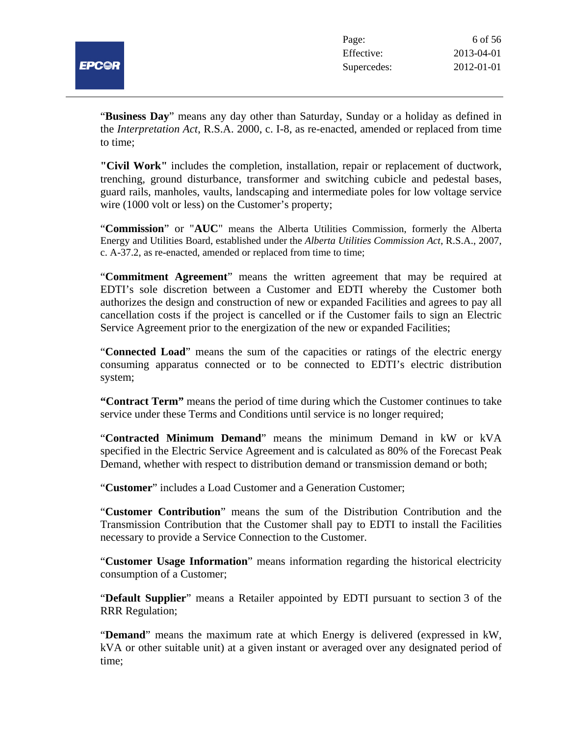

"**Business Day**" means any day other than Saturday, Sunday or a holiday as defined in the *Interpretation Act*, R.S.A. 2000, c. I-8, as re-enacted, amended or replaced from time to time;

**"Civil Work"** includes the completion, installation, repair or replacement of ductwork, trenching, ground disturbance, transformer and switching cubicle and pedestal bases, guard rails, manholes, vaults, landscaping and intermediate poles for low voltage service wire (1000 volt or less) on the Customer's property;

"**Commission**" or "**AUC**" means the Alberta Utilities Commission, formerly the Alberta Energy and Utilities Board, established under the *Alberta Utilities Commission Act*, R.S.A., 2007, c. A-37.2, as re-enacted, amended or replaced from time to time;

"**Commitment Agreement**" means the written agreement that may be required at EDTI's sole discretion between a Customer and EDTI whereby the Customer both authorizes the design and construction of new or expanded Facilities and agrees to pay all cancellation costs if the project is cancelled or if the Customer fails to sign an Electric Service Agreement prior to the energization of the new or expanded Facilities;

"**Connected Load**" means the sum of the capacities or ratings of the electric energy consuming apparatus connected or to be connected to EDTI's electric distribution system;

**"Contract Term"** means the period of time during which the Customer continues to take service under these Terms and Conditions until service is no longer required;

"**Contracted Minimum Demand**" means the minimum Demand in kW or kVA specified in the Electric Service Agreement and is calculated as 80% of the Forecast Peak Demand, whether with respect to distribution demand or transmission demand or both;

"**Customer**" includes a Load Customer and a Generation Customer;

"**Customer Contribution**" means the sum of the Distribution Contribution and the Transmission Contribution that the Customer shall pay to EDTI to install the Facilities necessary to provide a Service Connection to the Customer.

"**Customer Usage Information**" means information regarding the historical electricity consumption of a Customer;

"**Default Supplier**" means a Retailer appointed by EDTI pursuant to section 3 of the RRR Regulation;

"**Demand**" means the maximum rate at which Energy is delivered (expressed in kW, kVA or other suitable unit) at a given instant or averaged over any designated period of time;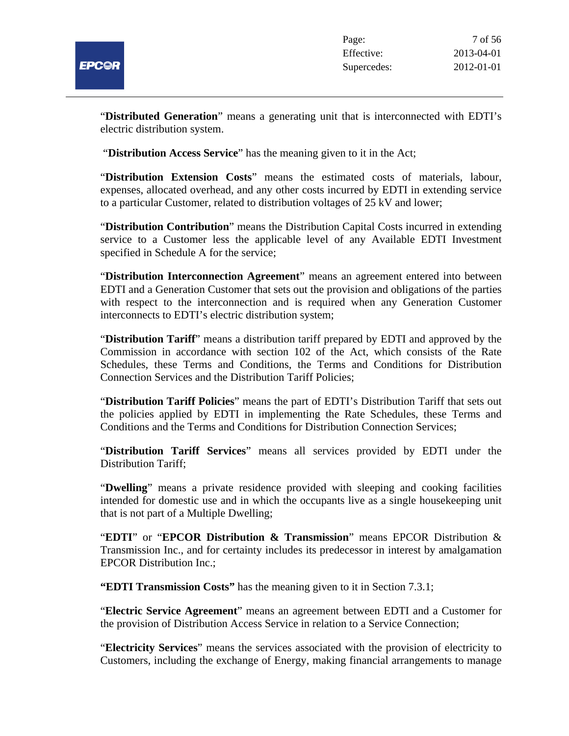

"**Distributed Generation**" means a generating unit that is interconnected with EDTI's electric distribution system.

"**Distribution Access Service**" has the meaning given to it in the Act;

"**Distribution Extension Costs**" means the estimated costs of materials, labour, expenses, allocated overhead, and any other costs incurred by EDTI in extending service to a particular Customer, related to distribution voltages of 25 kV and lower;

"**Distribution Contribution**" means the Distribution Capital Costs incurred in extending service to a Customer less the applicable level of any Available EDTI Investment specified in Schedule A for the service;

"**Distribution Interconnection Agreement**" means an agreement entered into between EDTI and a Generation Customer that sets out the provision and obligations of the parties with respect to the interconnection and is required when any Generation Customer interconnects to EDTI's electric distribution system;

"**Distribution Tariff**" means a distribution tariff prepared by EDTI and approved by the Commission in accordance with section 102 of the Act, which consists of the Rate Schedules, these Terms and Conditions, the Terms and Conditions for Distribution Connection Services and the Distribution Tariff Policies;

"**Distribution Tariff Policies**" means the part of EDTI's Distribution Tariff that sets out the policies applied by EDTI in implementing the Rate Schedules, these Terms and Conditions and the Terms and Conditions for Distribution Connection Services;

"**Distribution Tariff Services**" means all services provided by EDTI under the Distribution Tariff;

"**Dwelling**" means a private residence provided with sleeping and cooking facilities intended for domestic use and in which the occupants live as a single housekeeping unit that is not part of a Multiple Dwelling;

"**EDTI**" or "**EPCOR Distribution & Transmission**" means EPCOR Distribution & Transmission Inc., and for certainty includes its predecessor in interest by amalgamation EPCOR Distribution Inc.;

**"EDTI Transmission Costs"** has the meaning given to it in Section 7.3.1;

"**Electric Service Agreement**" means an agreement between EDTI and a Customer for the provision of Distribution Access Service in relation to a Service Connection;

"**Electricity Services**" means the services associated with the provision of electricity to Customers, including the exchange of Energy, making financial arrangements to manage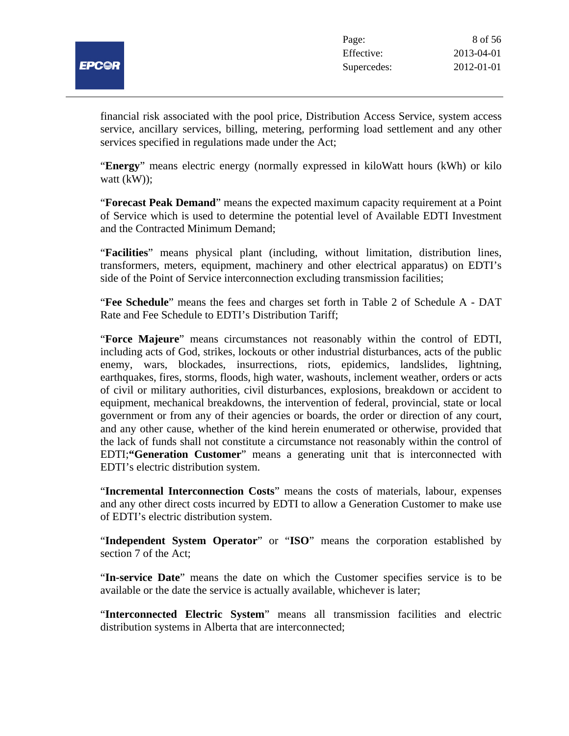

financial risk associated with the pool price, Distribution Access Service, system access service, ancillary services, billing, metering, performing load settlement and any other services specified in regulations made under the Act;

"**Energy**" means electric energy (normally expressed in kiloWatt hours (kWh) or kilo watt (kW));

"**Forecast Peak Demand**" means the expected maximum capacity requirement at a Point of Service which is used to determine the potential level of Available EDTI Investment and the Contracted Minimum Demand;

"**Facilities**" means physical plant (including, without limitation, distribution lines, transformers, meters, equipment, machinery and other electrical apparatus) on EDTI's side of the Point of Service interconnection excluding transmission facilities;

"**Fee Schedule**" means the fees and charges set forth in Table 2 of Schedule A - DAT Rate and Fee Schedule to EDTI's Distribution Tariff;

"**Force Majeure**" means circumstances not reasonably within the control of EDTI, including acts of God, strikes, lockouts or other industrial disturbances, acts of the public enemy, wars, blockades, insurrections, riots, epidemics, landslides, lightning, earthquakes, fires, storms, floods, high water, washouts, inclement weather, orders or acts of civil or military authorities, civil disturbances, explosions, breakdown or accident to equipment, mechanical breakdowns, the intervention of federal, provincial, state or local government or from any of their agencies or boards, the order or direction of any court, and any other cause, whether of the kind herein enumerated or otherwise, provided that the lack of funds shall not constitute a circumstance not reasonably within the control of EDTI;**"Generation Customer**" means a generating unit that is interconnected with EDTI's electric distribution system.

"**Incremental Interconnection Costs**" means the costs of materials, labour, expenses and any other direct costs incurred by EDTI to allow a Generation Customer to make use of EDTI's electric distribution system.

"**Independent System Operator**" or "**ISO**" means the corporation established by section 7 of the Act;

"**In-service Date**" means the date on which the Customer specifies service is to be available or the date the service is actually available, whichever is later;

"**Interconnected Electric System**" means all transmission facilities and electric distribution systems in Alberta that are interconnected;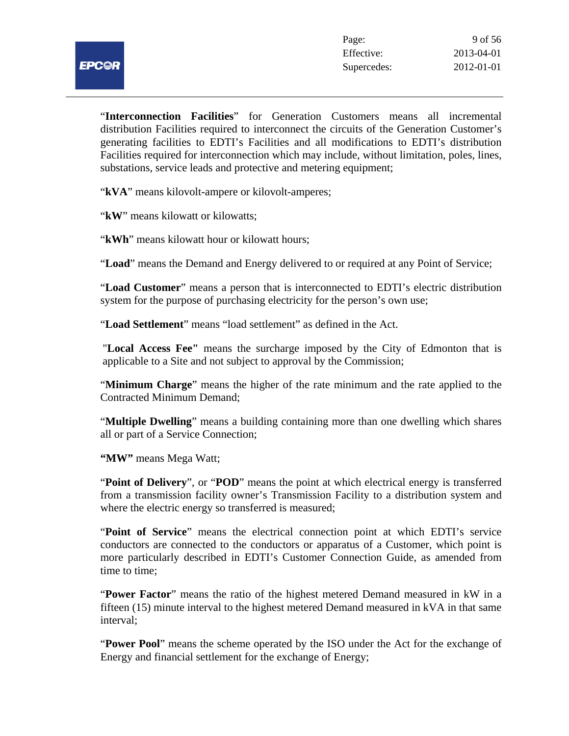

"**Interconnection Facilities**" for Generation Customers means all incremental distribution Facilities required to interconnect the circuits of the Generation Customer's generating facilities to EDTI's Facilities and all modifications to EDTI's distribution Facilities required for interconnection which may include, without limitation, poles, lines, substations, service leads and protective and metering equipment;

"**kVA**" means kilovolt-ampere or kilovolt-amperes;

"**kW**" means kilowatt or kilowatts;

"**kWh**" means kilowatt hour or kilowatt hours;

"**Load**" means the Demand and Energy delivered to or required at any Point of Service;

"**Load Customer**" means a person that is interconnected to EDTI's electric distribution system for the purpose of purchasing electricity for the person's own use;

"**Load Settlement**" means "load settlement" as defined in the Act.

"**Local Access Fee"** means the surcharge imposed by the City of Edmonton that is applicable to a Site and not subject to approval by the Commission;

"**Minimum Charge**" means the higher of the rate minimum and the rate applied to the Contracted Minimum Demand;

"**Multiple Dwelling**" means a building containing more than one dwelling which shares all or part of a Service Connection;

**"MW"** means Mega Watt;

"**Point of Delivery**", or "**POD**" means the point at which electrical energy is transferred from a transmission facility owner's Transmission Facility to a distribution system and where the electric energy so transferred is measured;

"**Point of Service**" means the electrical connection point at which EDTI's service conductors are connected to the conductors or apparatus of a Customer, which point is more particularly described in EDTI's Customer Connection Guide, as amended from time to time;

"**Power Factor**" means the ratio of the highest metered Demand measured in kW in a fifteen (15) minute interval to the highest metered Demand measured in kVA in that same interval;

"**Power Pool**" means the scheme operated by the ISO under the Act for the exchange of Energy and financial settlement for the exchange of Energy;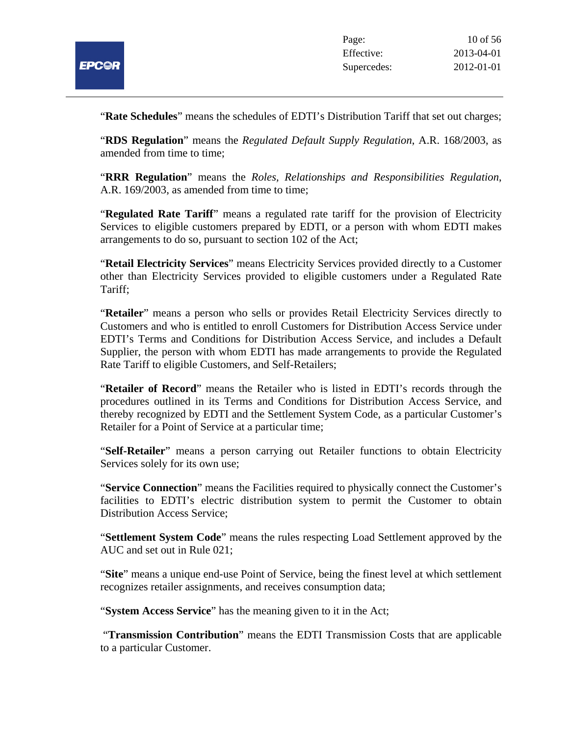

"**Rate Schedules**" means the schedules of EDTI's Distribution Tariff that set out charges;

"**RDS Regulation**" means the *Regulated Default Supply Regulation*, A.R. 168/2003, as amended from time to time;

"**RRR Regulation**" means the *Roles, Relationships and Responsibilities Regulation*, A.R. 169/2003, as amended from time to time;

"**Regulated Rate Tariff**" means a regulated rate tariff for the provision of Electricity Services to eligible customers prepared by EDTI, or a person with whom EDTI makes arrangements to do so, pursuant to section 102 of the Act;

"**Retail Electricity Services**" means Electricity Services provided directly to a Customer other than Electricity Services provided to eligible customers under a Regulated Rate Tariff;

"**Retailer**" means a person who sells or provides Retail Electricity Services directly to Customers and who is entitled to enroll Customers for Distribution Access Service under EDTI's Terms and Conditions for Distribution Access Service, and includes a Default Supplier, the person with whom EDTI has made arrangements to provide the Regulated Rate Tariff to eligible Customers, and Self-Retailers;

"**Retailer of Record**" means the Retailer who is listed in EDTI's records through the procedures outlined in its Terms and Conditions for Distribution Access Service, and thereby recognized by EDTI and the Settlement System Code, as a particular Customer's Retailer for a Point of Service at a particular time;

"**Self-Retailer**" means a person carrying out Retailer functions to obtain Electricity Services solely for its own use;

"**Service Connection**" means the Facilities required to physically connect the Customer's facilities to EDTI's electric distribution system to permit the Customer to obtain Distribution Access Service;

"**Settlement System Code**" means the rules respecting Load Settlement approved by the AUC and set out in Rule 021;

"**Site**" means a unique end-use Point of Service, being the finest level at which settlement recognizes retailer assignments, and receives consumption data;

"**System Access Service**" has the meaning given to it in the Act;

"**Transmission Contribution**" means the EDTI Transmission Costs that are applicable to a particular Customer.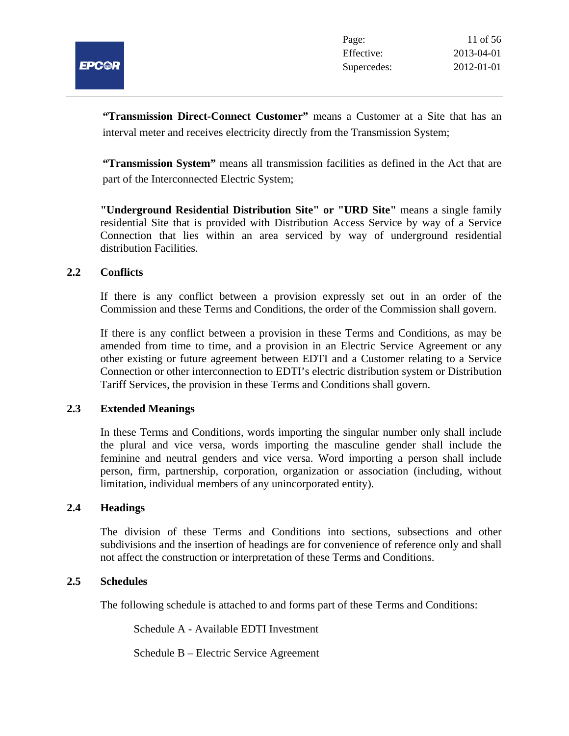

**"Transmission Direct-Connect Customer"** means a Customer at a Site that has an interval meter and receives electricity directly from the Transmission System;

**"Transmission System"** means all transmission facilities as defined in the Act that are part of the Interconnected Electric System;

**"Underground Residential Distribution Site" or "URD Site"** means a single family residential Site that is provided with Distribution Access Service by way of a Service Connection that lies within an area serviced by way of underground residential distribution Facilities.

# **2.2 Conflicts**

If there is any conflict between a provision expressly set out in an order of the Commission and these Terms and Conditions, the order of the Commission shall govern.

If there is any conflict between a provision in these Terms and Conditions, as may be amended from time to time, and a provision in an Electric Service Agreement or any other existing or future agreement between EDTI and a Customer relating to a Service Connection or other interconnection to EDTI's electric distribution system or Distribution Tariff Services, the provision in these Terms and Conditions shall govern.

# **2.3 Extended Meanings**

In these Terms and Conditions, words importing the singular number only shall include the plural and vice versa, words importing the masculine gender shall include the feminine and neutral genders and vice versa. Word importing a person shall include person, firm, partnership, corporation, organization or association (including, without limitation, individual members of any unincorporated entity).

# **2.4 Headings**

The division of these Terms and Conditions into sections, subsections and other subdivisions and the insertion of headings are for convenience of reference only and shall not affect the construction or interpretation of these Terms and Conditions.

#### **2.5 Schedules**

The following schedule is attached to and forms part of these Terms and Conditions:

Schedule A - Available EDTI Investment

Schedule B – Electric Service Agreement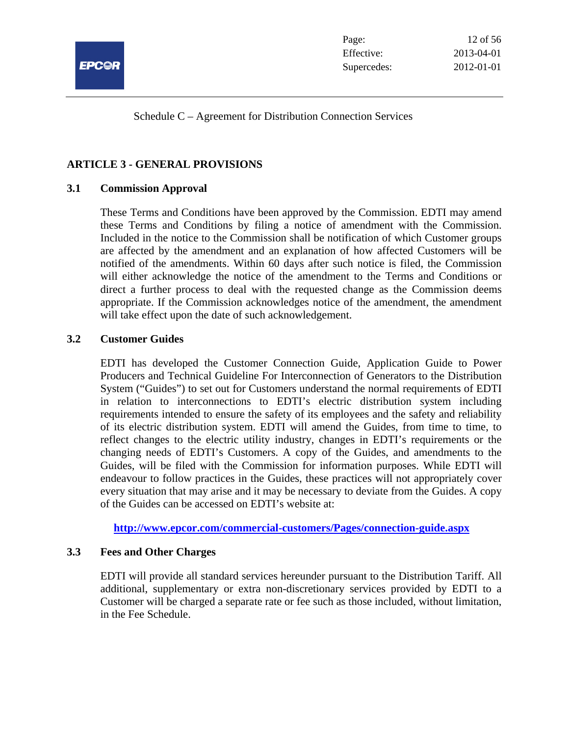

Schedule C – Agreement for Distribution Connection Services

# **ARTICLE 3 - GENERAL PROVISIONS**

# **3.1 Commission Approval**

These Terms and Conditions have been approved by the Commission. EDTI may amend these Terms and Conditions by filing a notice of amendment with the Commission. Included in the notice to the Commission shall be notification of which Customer groups are affected by the amendment and an explanation of how affected Customers will be notified of the amendments. Within 60 days after such notice is filed, the Commission will either acknowledge the notice of the amendment to the Terms and Conditions or direct a further process to deal with the requested change as the Commission deems appropriate. If the Commission acknowledges notice of the amendment, the amendment will take effect upon the date of such acknowledgement.

# **3.2 Customer Guides**

EDTI has developed the Customer Connection Guide, Application Guide to Power Producers and Technical Guideline For Interconnection of Generators to the Distribution System ("Guides") to set out for Customers understand the normal requirements of EDTI in relation to interconnections to EDTI's electric distribution system including requirements intended to ensure the safety of its employees and the safety and reliability of its electric distribution system. EDTI will amend the Guides, from time to time, to reflect changes to the electric utility industry, changes in EDTI's requirements or the changing needs of EDTI's Customers. A copy of the Guides, and amendments to the Guides, will be filed with the Commission for information purposes. While EDTI will endeavour to follow practices in the Guides, these practices will not appropriately cover every situation that may arise and it may be necessary to deviate from the Guides. A copy of the Guides can be accessed on EDTI's website at:

**http://www.epcor.com/commercial-customers/Pages/connection-guide.aspx**

# **3.3 Fees and Other Charges**

EDTI will provide all standard services hereunder pursuant to the Distribution Tariff. All additional, supplementary or extra non-discretionary services provided by EDTI to a Customer will be charged a separate rate or fee such as those included, without limitation, in the Fee Schedule.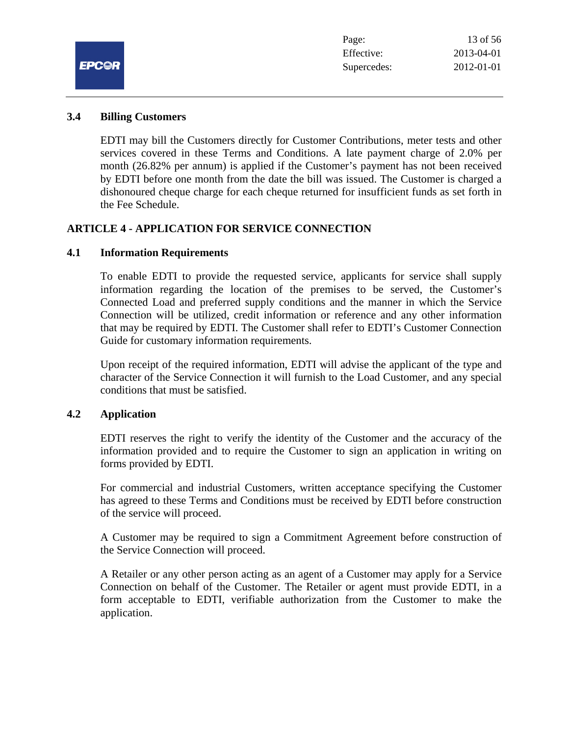

#### **3.4 Billing Customers**

EDTI may bill the Customers directly for Customer Contributions, meter tests and other services covered in these Terms and Conditions. A late payment charge of 2.0% per month (26.82% per annum) is applied if the Customer's payment has not been received by EDTI before one month from the date the bill was issued. The Customer is charged a dishonoured cheque charge for each cheque returned for insufficient funds as set forth in the Fee Schedule.

# **ARTICLE 4 - APPLICATION FOR SERVICE CONNECTION**

#### **4.1 Information Requirements**

To enable EDTI to provide the requested service, applicants for service shall supply information regarding the location of the premises to be served, the Customer's Connected Load and preferred supply conditions and the manner in which the Service Connection will be utilized, credit information or reference and any other information that may be required by EDTI. The Customer shall refer to EDTI's Customer Connection Guide for customary information requirements.

Upon receipt of the required information, EDTI will advise the applicant of the type and character of the Service Connection it will furnish to the Load Customer, and any special conditions that must be satisfied.

# **4.2 Application**

EDTI reserves the right to verify the identity of the Customer and the accuracy of the information provided and to require the Customer to sign an application in writing on forms provided by EDTI.

For commercial and industrial Customers, written acceptance specifying the Customer has agreed to these Terms and Conditions must be received by EDTI before construction of the service will proceed.

A Customer may be required to sign a Commitment Agreement before construction of the Service Connection will proceed.

A Retailer or any other person acting as an agent of a Customer may apply for a Service Connection on behalf of the Customer. The Retailer or agent must provide EDTI, in a form acceptable to EDTI, verifiable authorization from the Customer to make the application.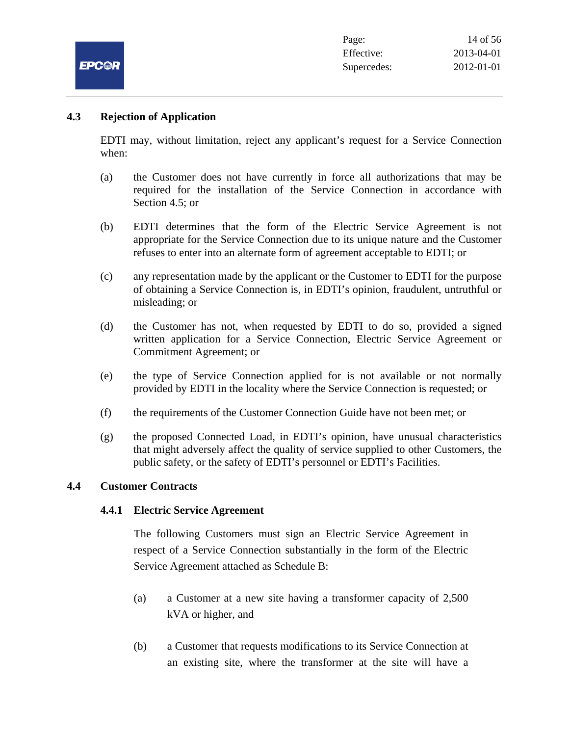

# **4.3 Rejection of Application**

EDTI may, without limitation, reject any applicant's request for a Service Connection when:

- (a) the Customer does not have currently in force all authorizations that may be required for the installation of the Service Connection in accordance with Section 4.5; or
- (b) EDTI determines that the form of the Electric Service Agreement is not appropriate for the Service Connection due to its unique nature and the Customer refuses to enter into an alternate form of agreement acceptable to EDTI; or
- (c) any representation made by the applicant or the Customer to EDTI for the purpose of obtaining a Service Connection is, in EDTI's opinion, fraudulent, untruthful or misleading; or
- (d) the Customer has not, when requested by EDTI to do so, provided a signed written application for a Service Connection, Electric Service Agreement or Commitment Agreement; or
- (e) the type of Service Connection applied for is not available or not normally provided by EDTI in the locality where the Service Connection is requested; or
- (f) the requirements of the Customer Connection Guide have not been met; or
- (g) the proposed Connected Load, in EDTI's opinion, have unusual characteristics that might adversely affect the quality of service supplied to other Customers, the public safety, or the safety of EDTI's personnel or EDTI's Facilities.

# **4.4 Customer Contracts**

# **4.4.1 Electric Service Agreement**

The following Customers must sign an Electric Service Agreement in respect of a Service Connection substantially in the form of the Electric Service Agreement attached as Schedule B:

- (a) a Customer at a new site having a transformer capacity of 2,500 kVA or higher, and
- (b) a Customer that requests modifications to its Service Connection at an existing site, where the transformer at the site will have a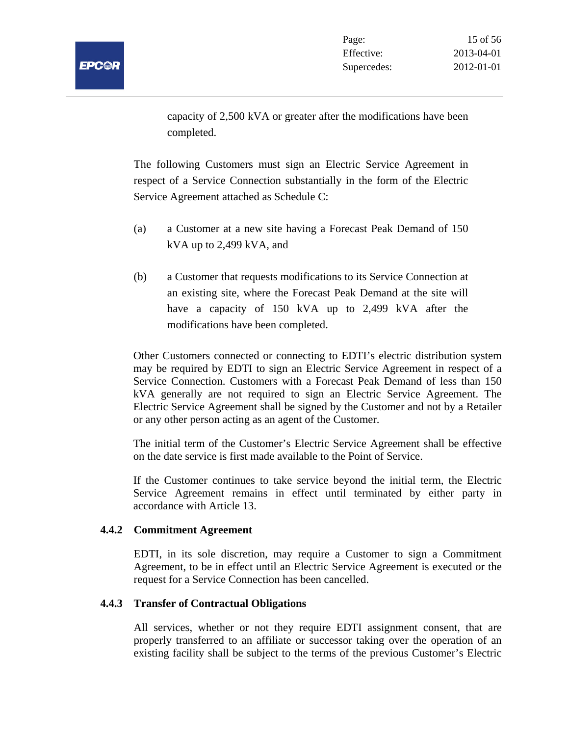

capacity of 2,500 kVA or greater after the modifications have been completed.

The following Customers must sign an Electric Service Agreement in respect of a Service Connection substantially in the form of the Electric Service Agreement attached as Schedule C:

- (a) a Customer at a new site having a Forecast Peak Demand of 150 kVA up to 2,499 kVA, and
- (b) a Customer that requests modifications to its Service Connection at an existing site, where the Forecast Peak Demand at the site will have a capacity of 150 kVA up to 2,499 kVA after the modifications have been completed.

Other Customers connected or connecting to EDTI's electric distribution system may be required by EDTI to sign an Electric Service Agreement in respect of a Service Connection. Customers with a Forecast Peak Demand of less than 150 kVA generally are not required to sign an Electric Service Agreement. The Electric Service Agreement shall be signed by the Customer and not by a Retailer or any other person acting as an agent of the Customer.

The initial term of the Customer's Electric Service Agreement shall be effective on the date service is first made available to the Point of Service.

If the Customer continues to take service beyond the initial term, the Electric Service Agreement remains in effect until terminated by either party in accordance with Article 13.

# **4.4.2 Commitment Agreement**

EDTI, in its sole discretion, may require a Customer to sign a Commitment Agreement, to be in effect until an Electric Service Agreement is executed or the request for a Service Connection has been cancelled.

# **4.4.3 Transfer of Contractual Obligations**

All services, whether or not they require EDTI assignment consent, that are properly transferred to an affiliate or successor taking over the operation of an existing facility shall be subject to the terms of the previous Customer's Electric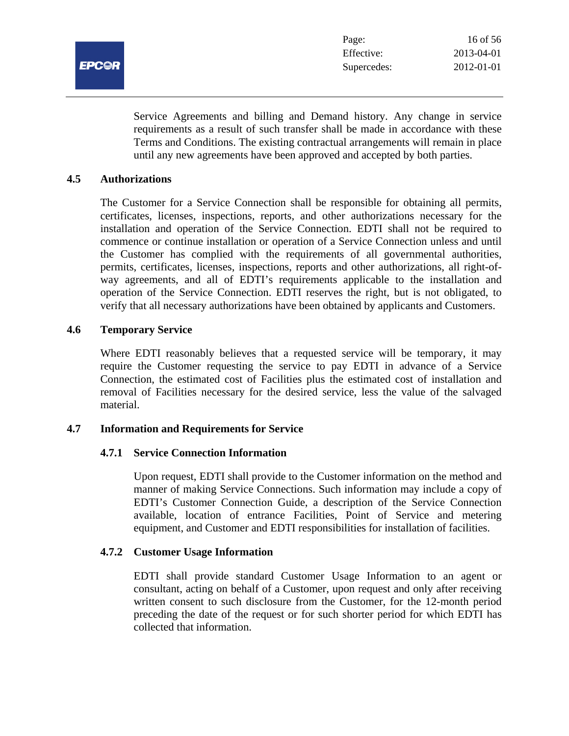

Service Agreements and billing and Demand history. Any change in service requirements as a result of such transfer shall be made in accordance with these Terms and Conditions. The existing contractual arrangements will remain in place until any new agreements have been approved and accepted by both parties.

#### **4.5 Authorizations**

The Customer for a Service Connection shall be responsible for obtaining all permits, certificates, licenses, inspections, reports, and other authorizations necessary for the installation and operation of the Service Connection. EDTI shall not be required to commence or continue installation or operation of a Service Connection unless and until the Customer has complied with the requirements of all governmental authorities, permits, certificates, licenses, inspections, reports and other authorizations, all right-ofway agreements, and all of EDTI's requirements applicable to the installation and operation of the Service Connection. EDTI reserves the right, but is not obligated, to verify that all necessary authorizations have been obtained by applicants and Customers.

#### **4.6 Temporary Service**

Where EDTI reasonably believes that a requested service will be temporary, it may require the Customer requesting the service to pay EDTI in advance of a Service Connection, the estimated cost of Facilities plus the estimated cost of installation and removal of Facilities necessary for the desired service, less the value of the salvaged material.

#### **4.7 Information and Requirements for Service**

#### **4.7.1 Service Connection Information**

Upon request, EDTI shall provide to the Customer information on the method and manner of making Service Connections. Such information may include a copy of EDTI's Customer Connection Guide, a description of the Service Connection available, location of entrance Facilities, Point of Service and metering equipment, and Customer and EDTI responsibilities for installation of facilities.

# **4.7.2 Customer Usage Information**

EDTI shall provide standard Customer Usage Information to an agent or consultant, acting on behalf of a Customer, upon request and only after receiving written consent to such disclosure from the Customer, for the 12-month period preceding the date of the request or for such shorter period for which EDTI has collected that information.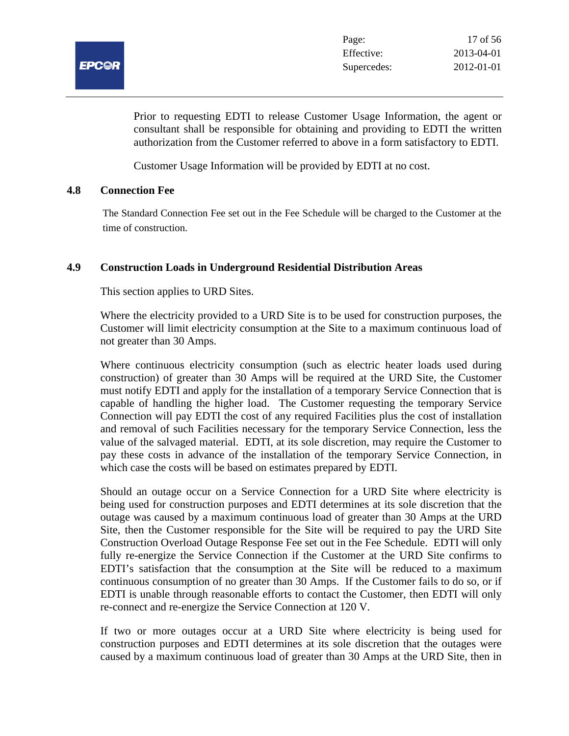

Prior to requesting EDTI to release Customer Usage Information, the agent or consultant shall be responsible for obtaining and providing to EDTI the written authorization from the Customer referred to above in a form satisfactory to EDTI.

Customer Usage Information will be provided by EDTI at no cost.

# **4.8 Connection Fee**

The Standard Connection Fee set out in the Fee Schedule will be charged to the Customer at the time of construction.

# **4.9 Construction Loads in Underground Residential Distribution Areas**

This section applies to URD Sites.

Where the electricity provided to a URD Site is to be used for construction purposes, the Customer will limit electricity consumption at the Site to a maximum continuous load of not greater than 30 Amps.

Where continuous electricity consumption (such as electric heater loads used during construction) of greater than 30 Amps will be required at the URD Site, the Customer must notify EDTI and apply for the installation of a temporary Service Connection that is capable of handling the higher load. The Customer requesting the temporary Service Connection will pay EDTI the cost of any required Facilities plus the cost of installation and removal of such Facilities necessary for the temporary Service Connection, less the value of the salvaged material. EDTI, at its sole discretion, may require the Customer to pay these costs in advance of the installation of the temporary Service Connection, in which case the costs will be based on estimates prepared by EDTI.

Should an outage occur on a Service Connection for a URD Site where electricity is being used for construction purposes and EDTI determines at its sole discretion that the outage was caused by a maximum continuous load of greater than 30 Amps at the URD Site, then the Customer responsible for the Site will be required to pay the URD Site Construction Overload Outage Response Fee set out in the Fee Schedule. EDTI will only fully re-energize the Service Connection if the Customer at the URD Site confirms to EDTI's satisfaction that the consumption at the Site will be reduced to a maximum continuous consumption of no greater than 30 Amps. If the Customer fails to do so, or if EDTI is unable through reasonable efforts to contact the Customer, then EDTI will only re-connect and re-energize the Service Connection at 120 V.

If two or more outages occur at a URD Site where electricity is being used for construction purposes and EDTI determines at its sole discretion that the outages were caused by a maximum continuous load of greater than 30 Amps at the URD Site, then in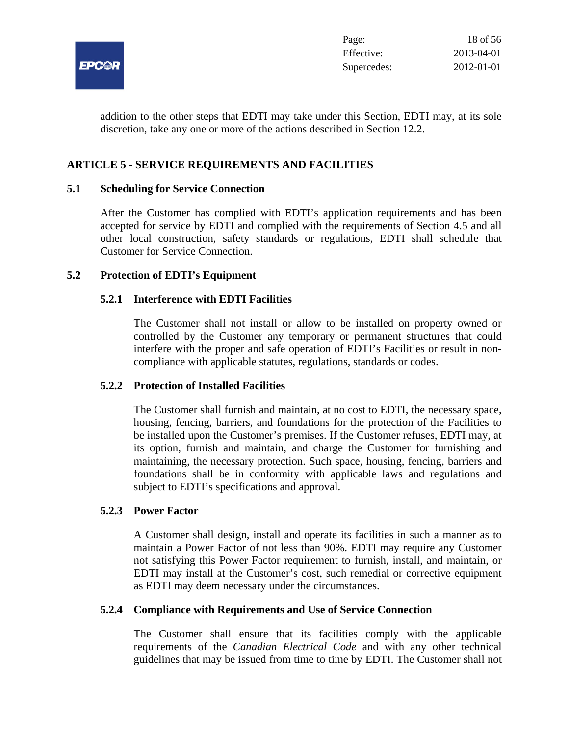

addition to the other steps that EDTI may take under this Section, EDTI may, at its sole discretion, take any one or more of the actions described in Section 12.2.

# **ARTICLE 5 - SERVICE REQUIREMENTS AND FACILITIES**

# **5.1 Scheduling for Service Connection**

After the Customer has complied with EDTI's application requirements and has been accepted for service by EDTI and complied with the requirements of Section 4.5 and all other local construction, safety standards or regulations, EDTI shall schedule that Customer for Service Connection.

#### **5.2 Protection of EDTI's Equipment**

# **5.2.1 Interference with EDTI Facilities**

The Customer shall not install or allow to be installed on property owned or controlled by the Customer any temporary or permanent structures that could interfere with the proper and safe operation of EDTI's Facilities or result in noncompliance with applicable statutes, regulations, standards or codes.

#### **5.2.2 Protection of Installed Facilities**

The Customer shall furnish and maintain, at no cost to EDTI, the necessary space, housing, fencing, barriers, and foundations for the protection of the Facilities to be installed upon the Customer's premises. If the Customer refuses, EDTI may, at its option, furnish and maintain, and charge the Customer for furnishing and maintaining, the necessary protection. Such space, housing, fencing, barriers and foundations shall be in conformity with applicable laws and regulations and subject to EDTI's specifications and approval.

# **5.2.3 Power Factor**

A Customer shall design, install and operate its facilities in such a manner as to maintain a Power Factor of not less than 90%. EDTI may require any Customer not satisfying this Power Factor requirement to furnish, install, and maintain, or EDTI may install at the Customer's cost, such remedial or corrective equipment as EDTI may deem necessary under the circumstances.

# **5.2.4 Compliance with Requirements and Use of Service Connection**

The Customer shall ensure that its facilities comply with the applicable requirements of the *Canadian Electrical Code* and with any other technical guidelines that may be issued from time to time by EDTI. The Customer shall not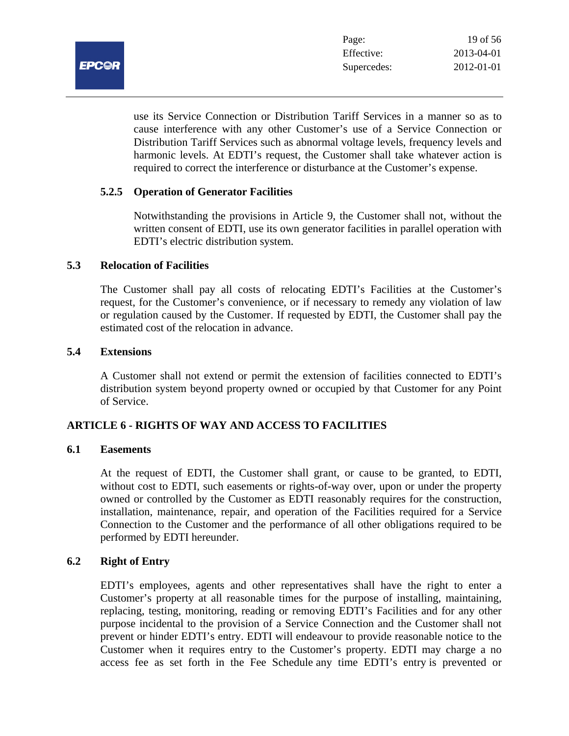**EPCAR** 

use its Service Connection or Distribution Tariff Services in a manner so as to cause interference with any other Customer's use of a Service Connection or Distribution Tariff Services such as abnormal voltage levels, frequency levels and harmonic levels. At EDTI's request, the Customer shall take whatever action is required to correct the interference or disturbance at the Customer's expense.

# **5.2.5 Operation of Generator Facilities**

Notwithstanding the provisions in Article 9, the Customer shall not, without the written consent of EDTI, use its own generator facilities in parallel operation with EDTI's electric distribution system.

# **5.3 Relocation of Facilities**

The Customer shall pay all costs of relocating EDTI's Facilities at the Customer's request, for the Customer's convenience, or if necessary to remedy any violation of law or regulation caused by the Customer. If requested by EDTI, the Customer shall pay the estimated cost of the relocation in advance.

# **5.4 Extensions**

A Customer shall not extend or permit the extension of facilities connected to EDTI's distribution system beyond property owned or occupied by that Customer for any Point of Service.

# **ARTICLE 6 - RIGHTS OF WAY AND ACCESS TO FACILITIES**

# **6.1 Easements**

At the request of EDTI, the Customer shall grant, or cause to be granted, to EDTI, without cost to EDTI, such easements or rights-of-way over, upon or under the property owned or controlled by the Customer as EDTI reasonably requires for the construction, installation, maintenance, repair, and operation of the Facilities required for a Service Connection to the Customer and the performance of all other obligations required to be performed by EDTI hereunder.

# **6.2 Right of Entry**

EDTI's employees, agents and other representatives shall have the right to enter a Customer's property at all reasonable times for the purpose of installing, maintaining, replacing, testing, monitoring, reading or removing EDTI's Facilities and for any other purpose incidental to the provision of a Service Connection and the Customer shall not prevent or hinder EDTI's entry. EDTI will endeavour to provide reasonable notice to the Customer when it requires entry to the Customer's property. EDTI may charge a no access fee as set forth in the Fee Schedule any time EDTI's entry is prevented or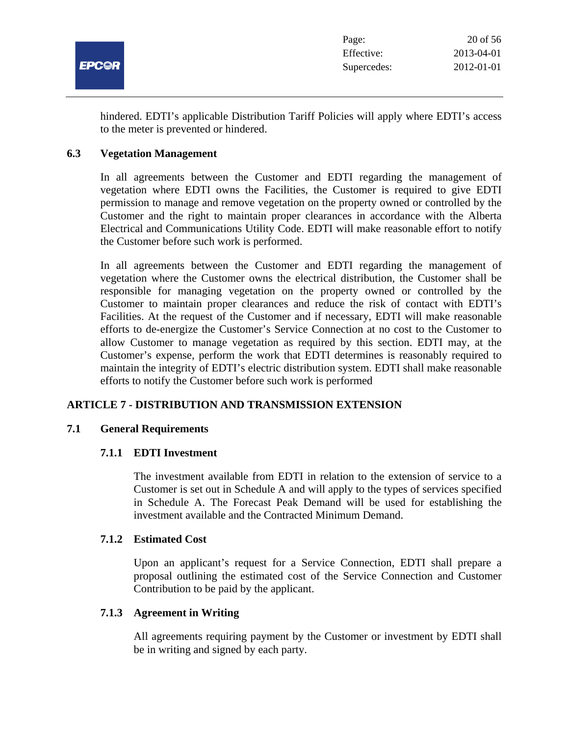

hindered. EDTI's applicable Distribution Tariff Policies will apply where EDTI's access to the meter is prevented or hindered.

# **6.3 Vegetation Management**

In all agreements between the Customer and EDTI regarding the management of vegetation where EDTI owns the Facilities, the Customer is required to give EDTI permission to manage and remove vegetation on the property owned or controlled by the Customer and the right to maintain proper clearances in accordance with the Alberta Electrical and Communications Utility Code. EDTI will make reasonable effort to notify the Customer before such work is performed.

In all agreements between the Customer and EDTI regarding the management of vegetation where the Customer owns the electrical distribution, the Customer shall be responsible for managing vegetation on the property owned or controlled by the Customer to maintain proper clearances and reduce the risk of contact with EDTI's Facilities. At the request of the Customer and if necessary, EDTI will make reasonable efforts to de-energize the Customer's Service Connection at no cost to the Customer to allow Customer to manage vegetation as required by this section. EDTI may, at the Customer's expense, perform the work that EDTI determines is reasonably required to maintain the integrity of EDTI's electric distribution system. EDTI shall make reasonable efforts to notify the Customer before such work is performed

# **ARTICLE 7 - DISTRIBUTION AND TRANSMISSION EXTENSION**

# **7.1 General Requirements**

# **7.1.1 EDTI Investment**

The investment available from EDTI in relation to the extension of service to a Customer is set out in Schedule A and will apply to the types of services specified in Schedule A. The Forecast Peak Demand will be used for establishing the investment available and the Contracted Minimum Demand.

#### **7.1.2 Estimated Cost**

Upon an applicant's request for a Service Connection, EDTI shall prepare a proposal outlining the estimated cost of the Service Connection and Customer Contribution to be paid by the applicant.

# **7.1.3 Agreement in Writing**

All agreements requiring payment by the Customer or investment by EDTI shall be in writing and signed by each party.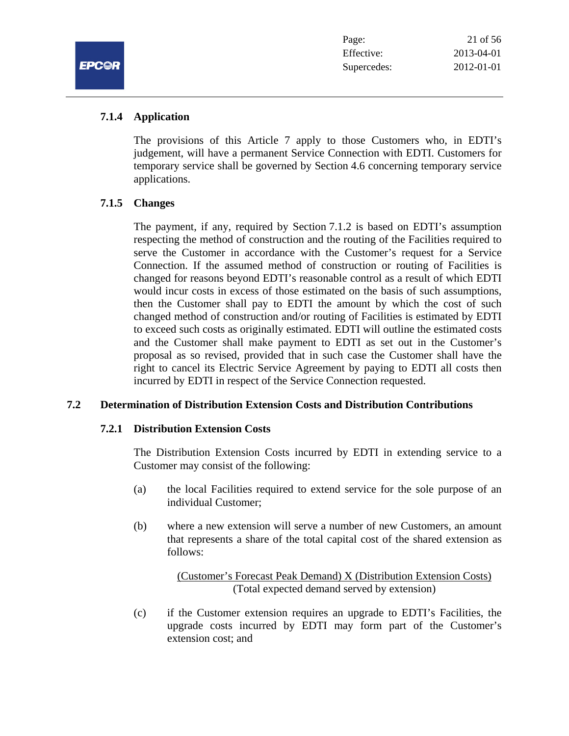

# **7.1.4 Application**

The provisions of this Article 7 apply to those Customers who, in EDTI's judgement, will have a permanent Service Connection with EDTI. Customers for temporary service shall be governed by Section 4.6 concerning temporary service applications.

# **7.1.5 Changes**

The payment, if any, required by Section 7.1.2 is based on EDTI's assumption respecting the method of construction and the routing of the Facilities required to serve the Customer in accordance with the Customer's request for a Service Connection. If the assumed method of construction or routing of Facilities is changed for reasons beyond EDTI's reasonable control as a result of which EDTI would incur costs in excess of those estimated on the basis of such assumptions, then the Customer shall pay to EDTI the amount by which the cost of such changed method of construction and/or routing of Facilities is estimated by EDTI to exceed such costs as originally estimated. EDTI will outline the estimated costs and the Customer shall make payment to EDTI as set out in the Customer's proposal as so revised, provided that in such case the Customer shall have the right to cancel its Electric Service Agreement by paying to EDTI all costs then incurred by EDTI in respect of the Service Connection requested.

# **7.2 Determination of Distribution Extension Costs and Distribution Contributions**

# **7.2.1 Distribution Extension Costs**

The Distribution Extension Costs incurred by EDTI in extending service to a Customer may consist of the following:

- (a) the local Facilities required to extend service for the sole purpose of an individual Customer;
- (b) where a new extension will serve a number of new Customers, an amount that represents a share of the total capital cost of the shared extension as follows:

(Customer's Forecast Peak Demand) X (Distribution Extension Costs) (Total expected demand served by extension)

(c) if the Customer extension requires an upgrade to EDTI's Facilities, the upgrade costs incurred by EDTI may form part of the Customer's extension cost; and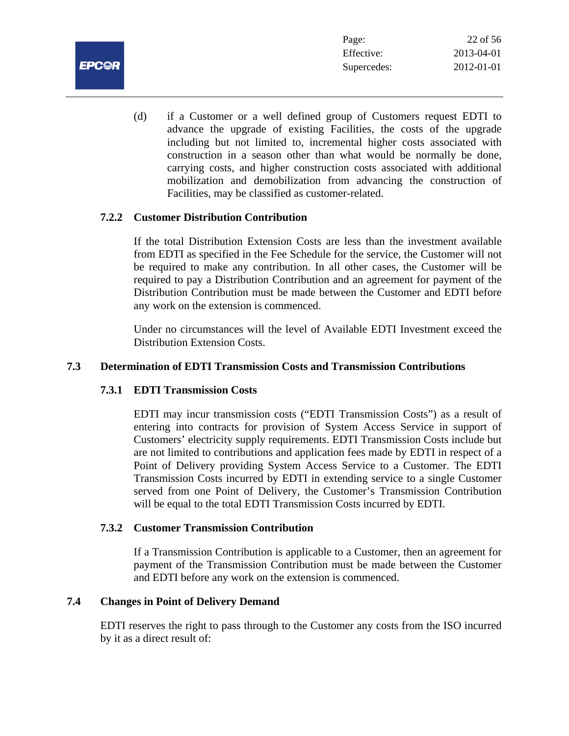

(d) if a Customer or a well defined group of Customers request EDTI to advance the upgrade of existing Facilities, the costs of the upgrade including but not limited to, incremental higher costs associated with construction in a season other than what would be normally be done, carrying costs, and higher construction costs associated with additional mobilization and demobilization from advancing the construction of Facilities, may be classified as customer-related.

# **7.2.2 Customer Distribution Contribution**

If the total Distribution Extension Costs are less than the investment available from EDTI as specified in the Fee Schedule for the service, the Customer will not be required to make any contribution. In all other cases, the Customer will be required to pay a Distribution Contribution and an agreement for payment of the Distribution Contribution must be made between the Customer and EDTI before any work on the extension is commenced.

Under no circumstances will the level of Available EDTI Investment exceed the Distribution Extension Costs.

# **7.3 Determination of EDTI Transmission Costs and Transmission Contributions**

# **7.3.1 EDTI Transmission Costs**

EDTI may incur transmission costs ("EDTI Transmission Costs") as a result of entering into contracts for provision of System Access Service in support of Customers' electricity supply requirements. EDTI Transmission Costs include but are not limited to contributions and application fees made by EDTI in respect of a Point of Delivery providing System Access Service to a Customer. The EDTI Transmission Costs incurred by EDTI in extending service to a single Customer served from one Point of Delivery, the Customer's Transmission Contribution will be equal to the total EDTI Transmission Costs incurred by EDTI.

# **7.3.2 Customer Transmission Contribution**

If a Transmission Contribution is applicable to a Customer, then an agreement for payment of the Transmission Contribution must be made between the Customer and EDTI before any work on the extension is commenced.

# **7.4 Changes in Point of Delivery Demand**

EDTI reserves the right to pass through to the Customer any costs from the ISO incurred by it as a direct result of: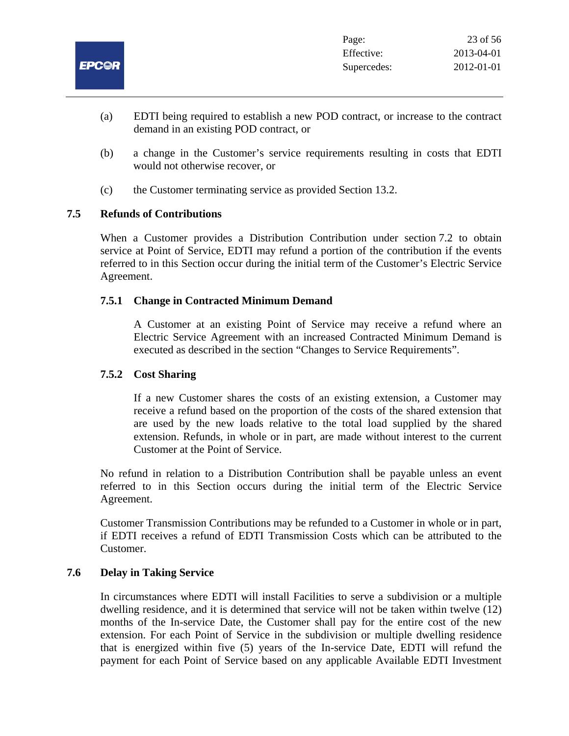

- (a) EDTI being required to establish a new POD contract, or increase to the contract demand in an existing POD contract, or
- (b) a change in the Customer's service requirements resulting in costs that EDTI would not otherwise recover, or
- (c) the Customer terminating service as provided Section 13.2.

# **7.5 Refunds of Contributions**

When a Customer provides a Distribution Contribution under section 7.2 to obtain service at Point of Service, EDTI may refund a portion of the contribution if the events referred to in this Section occur during the initial term of the Customer's Electric Service Agreement.

# **7.5.1 Change in Contracted Minimum Demand**

A Customer at an existing Point of Service may receive a refund where an Electric Service Agreement with an increased Contracted Minimum Demand is executed as described in the section "Changes to Service Requirements".

#### **7.5.2 Cost Sharing**

If a new Customer shares the costs of an existing extension, a Customer may receive a refund based on the proportion of the costs of the shared extension that are used by the new loads relative to the total load supplied by the shared extension. Refunds, in whole or in part, are made without interest to the current Customer at the Point of Service.

No refund in relation to a Distribution Contribution shall be payable unless an event referred to in this Section occurs during the initial term of the Electric Service Agreement.

Customer Transmission Contributions may be refunded to a Customer in whole or in part, if EDTI receives a refund of EDTI Transmission Costs which can be attributed to the Customer.

#### **7.6 Delay in Taking Service**

In circumstances where EDTI will install Facilities to serve a subdivision or a multiple dwelling residence, and it is determined that service will not be taken within twelve (12) months of the In-service Date, the Customer shall pay for the entire cost of the new extension. For each Point of Service in the subdivision or multiple dwelling residence that is energized within five (5) years of the In-service Date, EDTI will refund the payment for each Point of Service based on any applicable Available EDTI Investment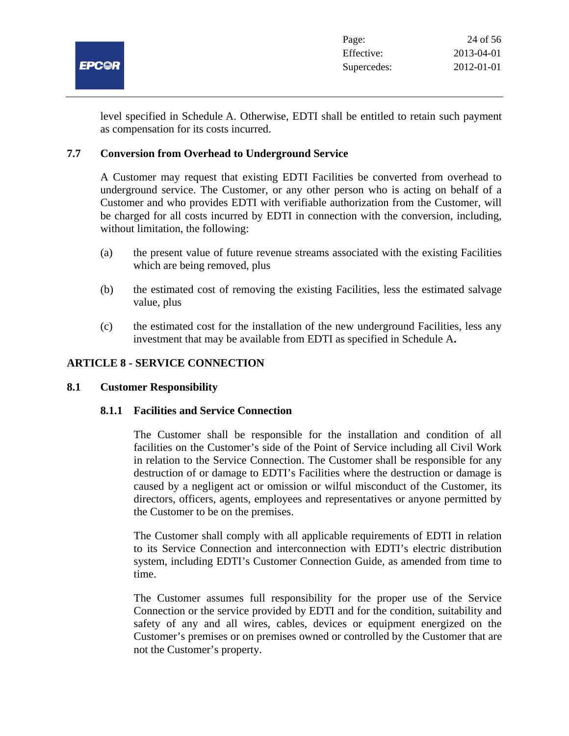

level specified in Schedule A. Otherwise, EDTI shall be entitled to retain such payment as compensation for its costs incurred.

# **7.7 Conversion from Overhead to Underground Service**

A Customer may request that existing EDTI Facilities be converted from overhead to underground service. The Customer, or any other person who is acting on behalf of a Customer and who provides EDTI with verifiable authorization from the Customer, will be charged for all costs incurred by EDTI in connection with the conversion, including, without limitation, the following:

- (a) the present value of future revenue streams associated with the existing Facilities which are being removed, plus
- (b) the estimated cost of removing the existing Facilities, less the estimated salvage value, plus
- (c) the estimated cost for the installation of the new underground Facilities, less any investment that may be available from EDTI as specified in Schedule A**.**

# **ARTICLE 8 - SERVICE CONNECTION**

# **8.1 Customer Responsibility**

# **8.1.1 Facilities and Service Connection**

The Customer shall be responsible for the installation and condition of all facilities on the Customer's side of the Point of Service including all Civil Work in relation to the Service Connection. The Customer shall be responsible for any destruction of or damage to EDTI's Facilities where the destruction or damage is caused by a negligent act or omission or wilful misconduct of the Customer, its directors, officers, agents, employees and representatives or anyone permitted by the Customer to be on the premises.

The Customer shall comply with all applicable requirements of EDTI in relation to its Service Connection and interconnection with EDTI's electric distribution system, including EDTI's Customer Connection Guide, as amended from time to time.

The Customer assumes full responsibility for the proper use of the Service Connection or the service provided by EDTI and for the condition, suitability and safety of any and all wires, cables, devices or equipment energized on the Customer's premises or on premises owned or controlled by the Customer that are not the Customer's property.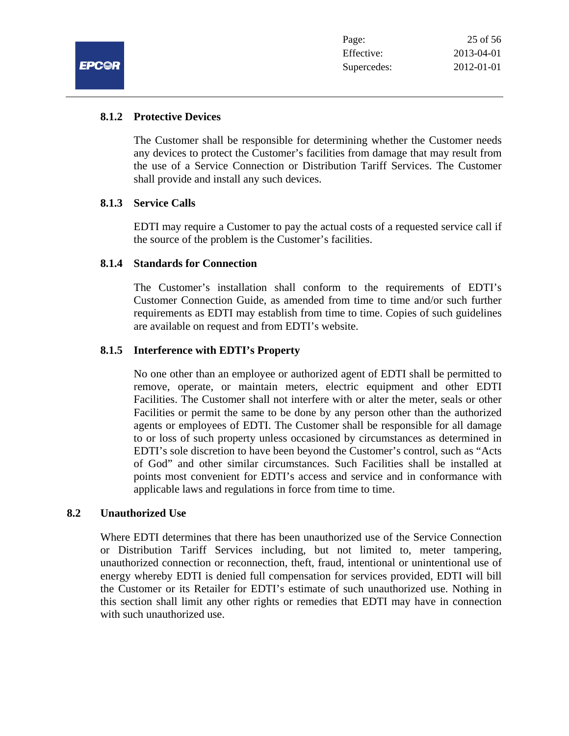# **8.1.2 Protective Devices**

The Customer shall be responsible for determining whether the Customer needs any devices to protect the Customer's facilities from damage that may result from the use of a Service Connection or Distribution Tariff Services. The Customer shall provide and install any such devices.

# **8.1.3 Service Calls**

EDTI may require a Customer to pay the actual costs of a requested service call if the source of the problem is the Customer's facilities.

# **8.1.4 Standards for Connection**

The Customer's installation shall conform to the requirements of EDTI's Customer Connection Guide, as amended from time to time and/or such further requirements as EDTI may establish from time to time. Copies of such guidelines are available on request and from EDTI's website.

# **8.1.5 Interference with EDTI's Property**

No one other than an employee or authorized agent of EDTI shall be permitted to remove, operate, or maintain meters, electric equipment and other EDTI Facilities. The Customer shall not interfere with or alter the meter, seals or other Facilities or permit the same to be done by any person other than the authorized agents or employees of EDTI. The Customer shall be responsible for all damage to or loss of such property unless occasioned by circumstances as determined in EDTI's sole discretion to have been beyond the Customer's control, such as "Acts of God" and other similar circumstances. Such Facilities shall be installed at points most convenient for EDTI's access and service and in conformance with applicable laws and regulations in force from time to time.

# **8.2 Unauthorized Use**

Where EDTI determines that there has been unauthorized use of the Service Connection or Distribution Tariff Services including, but not limited to, meter tampering, unauthorized connection or reconnection, theft, fraud, intentional or unintentional use of energy whereby EDTI is denied full compensation for services provided, EDTI will bill the Customer or its Retailer for EDTI's estimate of such unauthorized use. Nothing in this section shall limit any other rights or remedies that EDTI may have in connection with such unauthorized use.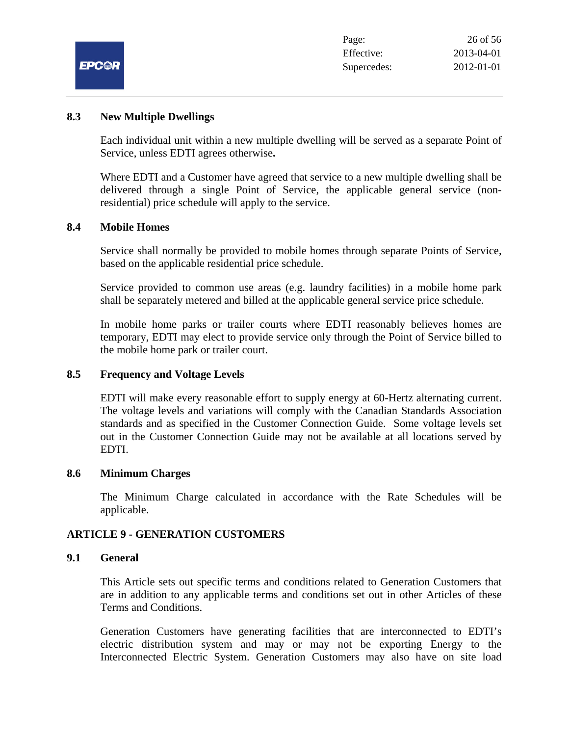|              | Page:       | 26 of 56   |
|--------------|-------------|------------|
|              | Effective:  | 2013-04-01 |
| <b>EPC@R</b> | Supercedes: | 2012-01-01 |

#### **8.3 New Multiple Dwellings**

Each individual unit within a new multiple dwelling will be served as a separate Point of Service, unless EDTI agrees otherwise**.**

Where EDTI and a Customer have agreed that service to a new multiple dwelling shall be delivered through a single Point of Service, the applicable general service (nonresidential) price schedule will apply to the service.

# **8.4 Mobile Homes**

Service shall normally be provided to mobile homes through separate Points of Service, based on the applicable residential price schedule.

Service provided to common use areas (e.g. laundry facilities) in a mobile home park shall be separately metered and billed at the applicable general service price schedule.

In mobile home parks or trailer courts where EDTI reasonably believes homes are temporary, EDTI may elect to provide service only through the Point of Service billed to the mobile home park or trailer court.

# **8.5 Frequency and Voltage Levels**

EDTI will make every reasonable effort to supply energy at 60-Hertz alternating current. The voltage levels and variations will comply with the Canadian Standards Association standards and as specified in the Customer Connection Guide. Some voltage levels set out in the Customer Connection Guide may not be available at all locations served by EDTI.

#### **8.6 Minimum Charges**

The Minimum Charge calculated in accordance with the Rate Schedules will be applicable.

# **ARTICLE 9 - GENERATION CUSTOMERS**

# **9.1 General**

This Article sets out specific terms and conditions related to Generation Customers that are in addition to any applicable terms and conditions set out in other Articles of these Terms and Conditions.

Generation Customers have generating facilities that are interconnected to EDTI's electric distribution system and may or may not be exporting Energy to the Interconnected Electric System. Generation Customers may also have on site load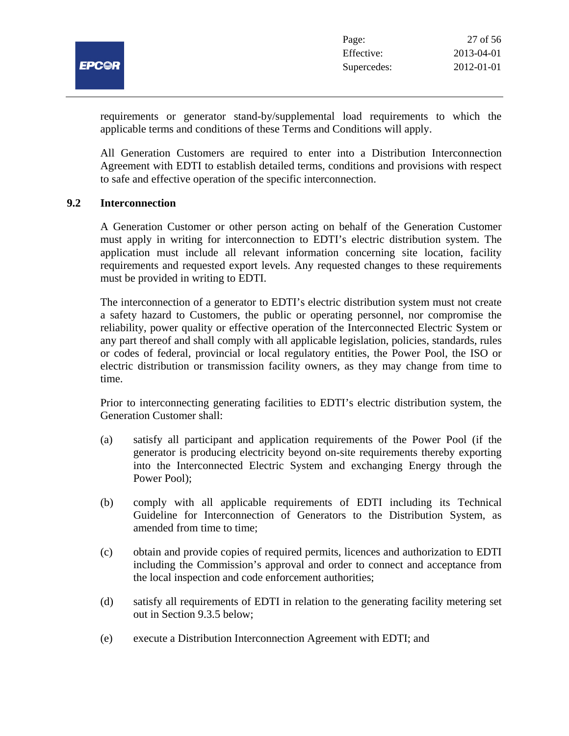

requirements or generator stand-by/supplemental load requirements to which the applicable terms and conditions of these Terms and Conditions will apply.

All Generation Customers are required to enter into a Distribution Interconnection Agreement with EDTI to establish detailed terms, conditions and provisions with respect to safe and effective operation of the specific interconnection.

#### **9.2 Interconnection**

A Generation Customer or other person acting on behalf of the Generation Customer must apply in writing for interconnection to EDTI's electric distribution system. The application must include all relevant information concerning site location, facility requirements and requested export levels. Any requested changes to these requirements must be provided in writing to EDTI.

The interconnection of a generator to EDTI's electric distribution system must not create a safety hazard to Customers, the public or operating personnel, nor compromise the reliability, power quality or effective operation of the Interconnected Electric System or any part thereof and shall comply with all applicable legislation, policies, standards, rules or codes of federal, provincial or local regulatory entities, the Power Pool, the ISO or electric distribution or transmission facility owners, as they may change from time to time.

Prior to interconnecting generating facilities to EDTI's electric distribution system, the Generation Customer shall:

- (a) satisfy all participant and application requirements of the Power Pool (if the generator is producing electricity beyond on-site requirements thereby exporting into the Interconnected Electric System and exchanging Energy through the Power Pool);
- (b) comply with all applicable requirements of EDTI including its Technical Guideline for Interconnection of Generators to the Distribution System, as amended from time to time;
- (c) obtain and provide copies of required permits, licences and authorization to EDTI including the Commission's approval and order to connect and acceptance from the local inspection and code enforcement authorities;
- (d) satisfy all requirements of EDTI in relation to the generating facility metering set out in Section 9.3.5 below;
- (e) execute a Distribution Interconnection Agreement with EDTI; and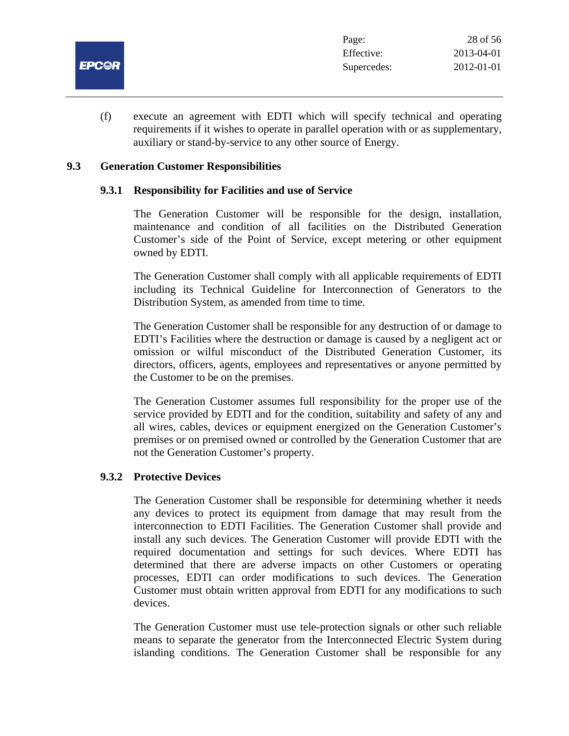

(f) execute an agreement with EDTI which will specify technical and operating requirements if it wishes to operate in parallel operation with or as supplementary, auxiliary or stand-by-service to any other source of Energy.

#### **9.3 Generation Customer Responsibilities**

#### **9.3.1 Responsibility for Facilities and use of Service**

The Generation Customer will be responsible for the design, installation, maintenance and condition of all facilities on the Distributed Generation Customer's side of the Point of Service, except metering or other equipment owned by EDTI.

The Generation Customer shall comply with all applicable requirements of EDTI including its Technical Guideline for Interconnection of Generators to the Distribution System, as amended from time to time.

The Generation Customer shall be responsible for any destruction of or damage to EDTI's Facilities where the destruction or damage is caused by a negligent act or omission or wilful misconduct of the Distributed Generation Customer, its directors, officers, agents, employees and representatives or anyone permitted by the Customer to be on the premises.

The Generation Customer assumes full responsibility for the proper use of the service provided by EDTI and for the condition, suitability and safety of any and all wires, cables, devices or equipment energized on the Generation Customer's premises or on premised owned or controlled by the Generation Customer that are not the Generation Customer's property.

# **9.3.2 Protective Devices**

The Generation Customer shall be responsible for determining whether it needs any devices to protect its equipment from damage that may result from the interconnection to EDTI Facilities. The Generation Customer shall provide and install any such devices. The Generation Customer will provide EDTI with the required documentation and settings for such devices. Where EDTI has determined that there are adverse impacts on other Customers or operating processes, EDTI can order modifications to such devices. The Generation Customer must obtain written approval from EDTI for any modifications to such devices.

The Generation Customer must use tele-protection signals or other such reliable means to separate the generator from the Interconnected Electric System during islanding conditions. The Generation Customer shall be responsible for any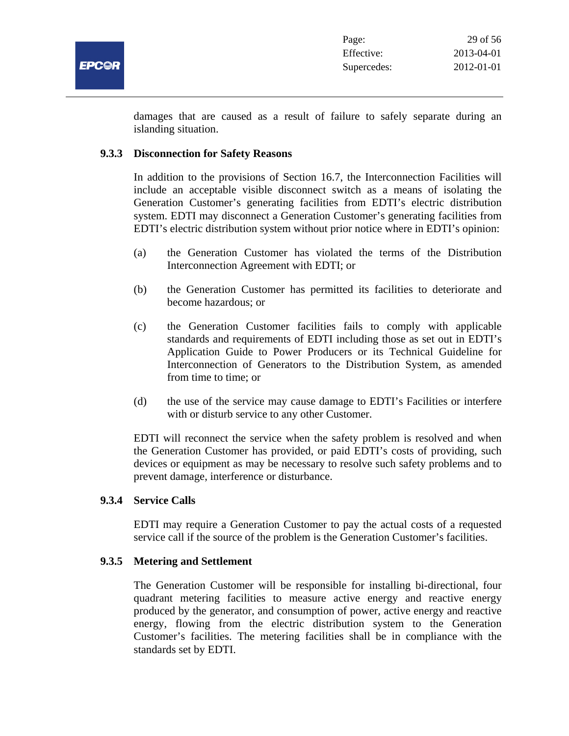

damages that are caused as a result of failure to safely separate during an islanding situation.

# **9.3.3 Disconnection for Safety Reasons**

In addition to the provisions of Section 16.7, the Interconnection Facilities will include an acceptable visible disconnect switch as a means of isolating the Generation Customer's generating facilities from EDTI's electric distribution system. EDTI may disconnect a Generation Customer's generating facilities from EDTI's electric distribution system without prior notice where in EDTI's opinion:

- (a) the Generation Customer has violated the terms of the Distribution Interconnection Agreement with EDTI; or
- (b) the Generation Customer has permitted its facilities to deteriorate and become hazardous; or
- (c) the Generation Customer facilities fails to comply with applicable standards and requirements of EDTI including those as set out in EDTI's Application Guide to Power Producers or its Technical Guideline for Interconnection of Generators to the Distribution System, as amended from time to time; or
- (d) the use of the service may cause damage to EDTI's Facilities or interfere with or disturb service to any other Customer.

EDTI will reconnect the service when the safety problem is resolved and when the Generation Customer has provided, or paid EDTI's costs of providing, such devices or equipment as may be necessary to resolve such safety problems and to prevent damage, interference or disturbance.

#### **9.3.4 Service Calls**

EDTI may require a Generation Customer to pay the actual costs of a requested service call if the source of the problem is the Generation Customer's facilities.

#### **9.3.5 Metering and Settlement**

The Generation Customer will be responsible for installing bi-directional, four quadrant metering facilities to measure active energy and reactive energy produced by the generator, and consumption of power, active energy and reactive energy, flowing from the electric distribution system to the Generation Customer's facilities. The metering facilities shall be in compliance with the standards set by EDTI.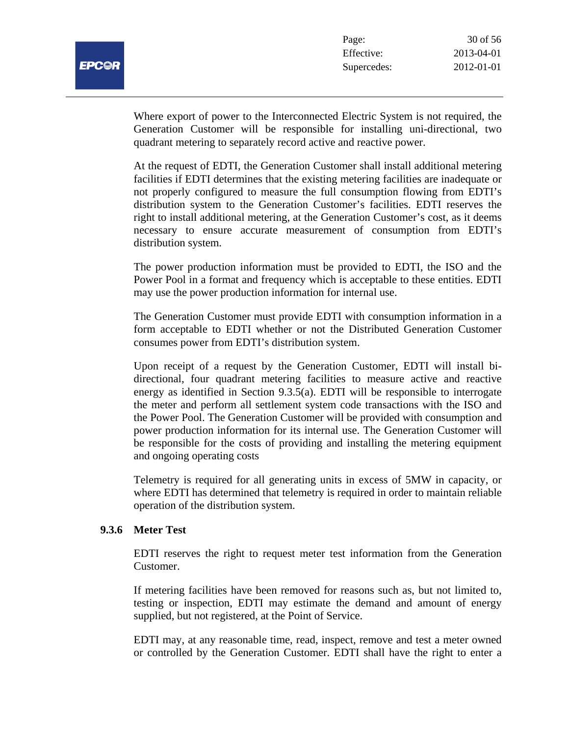

Where export of power to the Interconnected Electric System is not required, the Generation Customer will be responsible for installing uni-directional, two quadrant metering to separately record active and reactive power.

At the request of EDTI, the Generation Customer shall install additional metering facilities if EDTI determines that the existing metering facilities are inadequate or not properly configured to measure the full consumption flowing from EDTI's distribution system to the Generation Customer's facilities. EDTI reserves the right to install additional metering, at the Generation Customer's cost, as it deems necessary to ensure accurate measurement of consumption from EDTI's distribution system.

The power production information must be provided to EDTI, the ISO and the Power Pool in a format and frequency which is acceptable to these entities. EDTI may use the power production information for internal use.

The Generation Customer must provide EDTI with consumption information in a form acceptable to EDTI whether or not the Distributed Generation Customer consumes power from EDTI's distribution system.

Upon receipt of a request by the Generation Customer, EDTI will install bidirectional, four quadrant metering facilities to measure active and reactive energy as identified in Section 9.3.5(a). EDTI will be responsible to interrogate the meter and perform all settlement system code transactions with the ISO and the Power Pool. The Generation Customer will be provided with consumption and power production information for its internal use. The Generation Customer will be responsible for the costs of providing and installing the metering equipment and ongoing operating costs

Telemetry is required for all generating units in excess of 5MW in capacity, or where EDTI has determined that telemetry is required in order to maintain reliable operation of the distribution system.

# **9.3.6 Meter Test**

EDTI reserves the right to request meter test information from the Generation Customer.

If metering facilities have been removed for reasons such as, but not limited to, testing or inspection, EDTI may estimate the demand and amount of energy supplied, but not registered, at the Point of Service.

EDTI may, at any reasonable time, read, inspect, remove and test a meter owned or controlled by the Generation Customer. EDTI shall have the right to enter a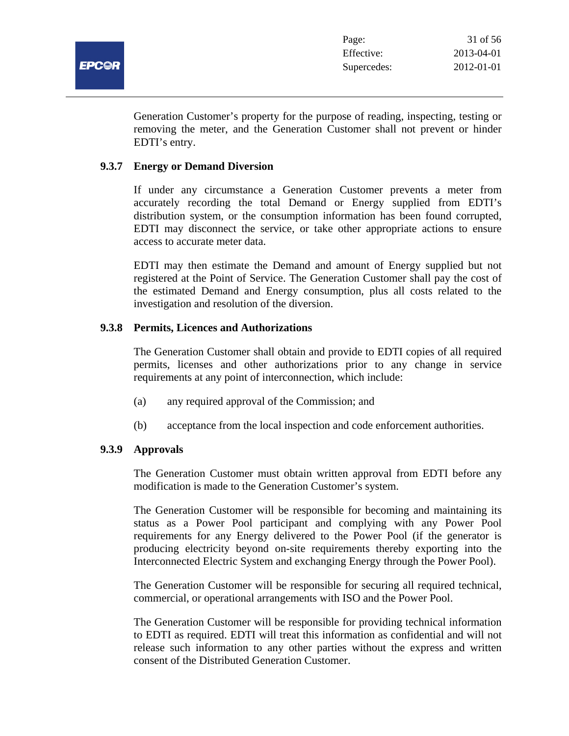

Generation Customer's property for the purpose of reading, inspecting, testing or removing the meter, and the Generation Customer shall not prevent or hinder EDTI's entry.

#### **9.3.7 Energy or Demand Diversion**

If under any circumstance a Generation Customer prevents a meter from accurately recording the total Demand or Energy supplied from EDTI's distribution system, or the consumption information has been found corrupted, EDTI may disconnect the service, or take other appropriate actions to ensure access to accurate meter data.

EDTI may then estimate the Demand and amount of Energy supplied but not registered at the Point of Service. The Generation Customer shall pay the cost of the estimated Demand and Energy consumption, plus all costs related to the investigation and resolution of the diversion.

# **9.3.8 Permits, Licences and Authorizations**

The Generation Customer shall obtain and provide to EDTI copies of all required permits, licenses and other authorizations prior to any change in service requirements at any point of interconnection, which include:

- (a) any required approval of the Commission; and
- (b) acceptance from the local inspection and code enforcement authorities.

#### **9.3.9 Approvals**

The Generation Customer must obtain written approval from EDTI before any modification is made to the Generation Customer's system.

The Generation Customer will be responsible for becoming and maintaining its status as a Power Pool participant and complying with any Power Pool requirements for any Energy delivered to the Power Pool (if the generator is producing electricity beyond on-site requirements thereby exporting into the Interconnected Electric System and exchanging Energy through the Power Pool).

The Generation Customer will be responsible for securing all required technical, commercial, or operational arrangements with ISO and the Power Pool.

The Generation Customer will be responsible for providing technical information to EDTI as required. EDTI will treat this information as confidential and will not release such information to any other parties without the express and written consent of the Distributed Generation Customer.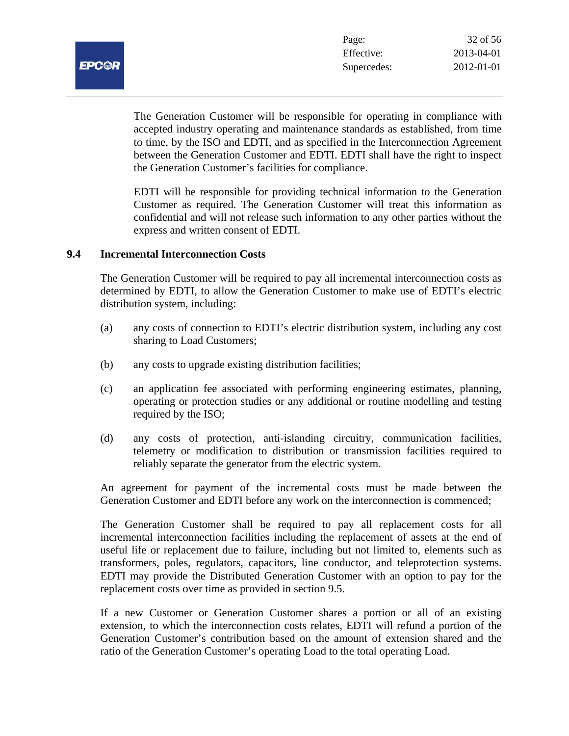

The Generation Customer will be responsible for operating in compliance with accepted industry operating and maintenance standards as established, from time to time, by the ISO and EDTI, and as specified in the Interconnection Agreement between the Generation Customer and EDTI. EDTI shall have the right to inspect the Generation Customer's facilities for compliance.

EDTI will be responsible for providing technical information to the Generation Customer as required. The Generation Customer will treat this information as confidential and will not release such information to any other parties without the express and written consent of EDTI.

#### **9.4 Incremental Interconnection Costs**

The Generation Customer will be required to pay all incremental interconnection costs as determined by EDTI, to allow the Generation Customer to make use of EDTI's electric distribution system, including:

- (a) any costs of connection to EDTI's electric distribution system, including any cost sharing to Load Customers;
- (b) any costs to upgrade existing distribution facilities;
- (c) an application fee associated with performing engineering estimates, planning, operating or protection studies or any additional or routine modelling and testing required by the ISO;
- (d) any costs of protection, anti-islanding circuitry, communication facilities, telemetry or modification to distribution or transmission facilities required to reliably separate the generator from the electric system.

An agreement for payment of the incremental costs must be made between the Generation Customer and EDTI before any work on the interconnection is commenced;

The Generation Customer shall be required to pay all replacement costs for all incremental interconnection facilities including the replacement of assets at the end of useful life or replacement due to failure, including but not limited to, elements such as transformers, poles, regulators, capacitors, line conductor, and teleprotection systems. EDTI may provide the Distributed Generation Customer with an option to pay for the replacement costs over time as provided in section 9.5.

If a new Customer or Generation Customer shares a portion or all of an existing extension, to which the interconnection costs relates, EDTI will refund a portion of the Generation Customer's contribution based on the amount of extension shared and the ratio of the Generation Customer's operating Load to the total operating Load.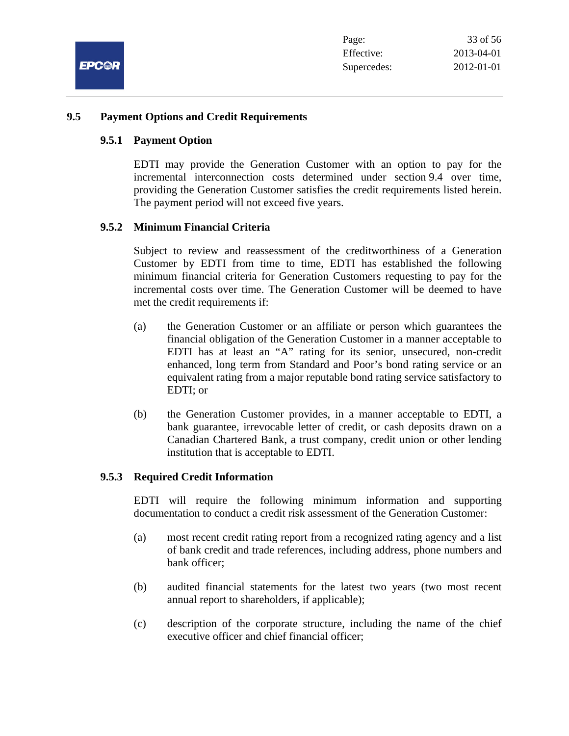

#### **9.5 Payment Options and Credit Requirements**

#### **9.5.1 Payment Option**

EDTI may provide the Generation Customer with an option to pay for the incremental interconnection costs determined under section 9.4 over time, providing the Generation Customer satisfies the credit requirements listed herein. The payment period will not exceed five years.

#### **9.5.2 Minimum Financial Criteria**

Subject to review and reassessment of the creditworthiness of a Generation Customer by EDTI from time to time, EDTI has established the following minimum financial criteria for Generation Customers requesting to pay for the incremental costs over time. The Generation Customer will be deemed to have met the credit requirements if:

- (a) the Generation Customer or an affiliate or person which guarantees the financial obligation of the Generation Customer in a manner acceptable to EDTI has at least an "A" rating for its senior, unsecured, non-credit enhanced, long term from Standard and Poor's bond rating service or an equivalent rating from a major reputable bond rating service satisfactory to EDTI; or
- (b) the Generation Customer provides, in a manner acceptable to EDTI, a bank guarantee, irrevocable letter of credit, or cash deposits drawn on a Canadian Chartered Bank, a trust company, credit union or other lending institution that is acceptable to EDTI.

#### **9.5.3 Required Credit Information**

EDTI will require the following minimum information and supporting documentation to conduct a credit risk assessment of the Generation Customer:

- (a) most recent credit rating report from a recognized rating agency and a list of bank credit and trade references, including address, phone numbers and bank officer;
- (b) audited financial statements for the latest two years (two most recent annual report to shareholders, if applicable);
- (c) description of the corporate structure, including the name of the chief executive officer and chief financial officer;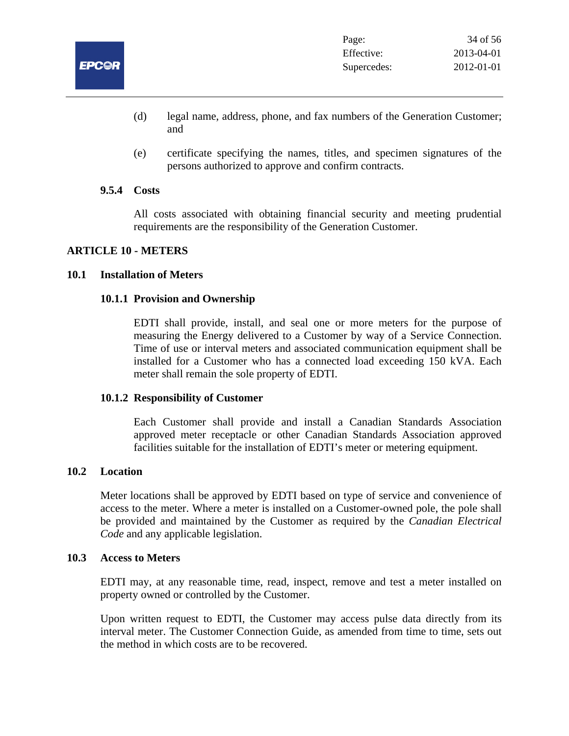

- (d) legal name, address, phone, and fax numbers of the Generation Customer; and
- (e) certificate specifying the names, titles, and specimen signatures of the persons authorized to approve and confirm contracts.

#### **9.5.4 Costs**

All costs associated with obtaining financial security and meeting prudential requirements are the responsibility of the Generation Customer.

# **ARTICLE 10 - METERS**

#### **10.1 Installation of Meters**

#### **10.1.1 Provision and Ownership**

EDTI shall provide, install, and seal one or more meters for the purpose of measuring the Energy delivered to a Customer by way of a Service Connection. Time of use or interval meters and associated communication equipment shall be installed for a Customer who has a connected load exceeding 150 kVA. Each meter shall remain the sole property of EDTI.

#### **10.1.2 Responsibility of Customer**

Each Customer shall provide and install a Canadian Standards Association approved meter receptacle or other Canadian Standards Association approved facilities suitable for the installation of EDTI's meter or metering equipment.

#### **10.2 Location**

Meter locations shall be approved by EDTI based on type of service and convenience of access to the meter. Where a meter is installed on a Customer-owned pole, the pole shall be provided and maintained by the Customer as required by the *Canadian Electrical Code* and any applicable legislation.

#### **10.3 Access to Meters**

EDTI may, at any reasonable time, read, inspect, remove and test a meter installed on property owned or controlled by the Customer.

Upon written request to EDTI, the Customer may access pulse data directly from its interval meter. The Customer Connection Guide, as amended from time to time, sets out the method in which costs are to be recovered.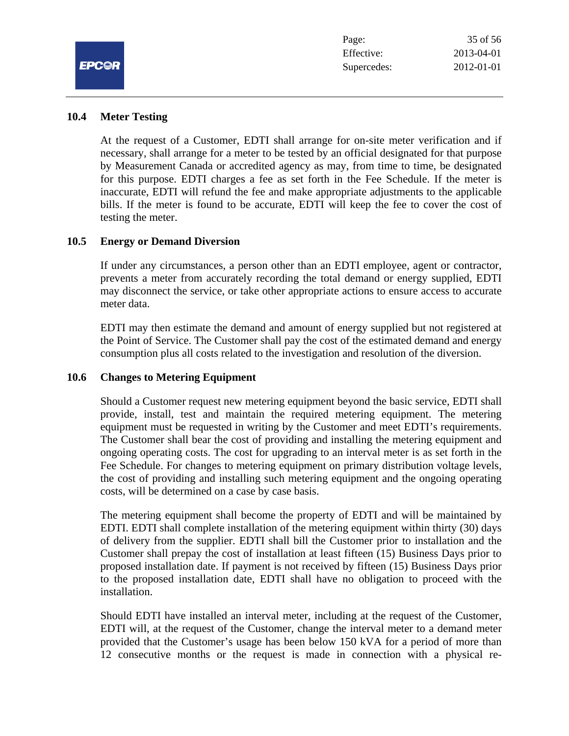

#### **10.4 Meter Testing**

At the request of a Customer, EDTI shall arrange for on-site meter verification and if necessary, shall arrange for a meter to be tested by an official designated for that purpose by Measurement Canada or accredited agency as may, from time to time, be designated for this purpose. EDTI charges a fee as set forth in the Fee Schedule. If the meter is inaccurate, EDTI will refund the fee and make appropriate adjustments to the applicable bills. If the meter is found to be accurate, EDTI will keep the fee to cover the cost of testing the meter.

#### **10.5 Energy or Demand Diversion**

If under any circumstances, a person other than an EDTI employee, agent or contractor, prevents a meter from accurately recording the total demand or energy supplied, EDTI may disconnect the service, or take other appropriate actions to ensure access to accurate meter data.

EDTI may then estimate the demand and amount of energy supplied but not registered at the Point of Service. The Customer shall pay the cost of the estimated demand and energy consumption plus all costs related to the investigation and resolution of the diversion.

# **10.6 Changes to Metering Equipment**

Should a Customer request new metering equipment beyond the basic service, EDTI shall provide, install, test and maintain the required metering equipment. The metering equipment must be requested in writing by the Customer and meet EDTI's requirements. The Customer shall bear the cost of providing and installing the metering equipment and ongoing operating costs. The cost for upgrading to an interval meter is as set forth in the Fee Schedule. For changes to metering equipment on primary distribution voltage levels, the cost of providing and installing such metering equipment and the ongoing operating costs, will be determined on a case by case basis.

The metering equipment shall become the property of EDTI and will be maintained by EDTI. EDTI shall complete installation of the metering equipment within thirty (30) days of delivery from the supplier. EDTI shall bill the Customer prior to installation and the Customer shall prepay the cost of installation at least fifteen (15) Business Days prior to proposed installation date. If payment is not received by fifteen (15) Business Days prior to the proposed installation date, EDTI shall have no obligation to proceed with the installation.

Should EDTI have installed an interval meter, including at the request of the Customer, EDTI will, at the request of the Customer, change the interval meter to a demand meter provided that the Customer's usage has been below 150 kVA for a period of more than 12 consecutive months or the request is made in connection with a physical re-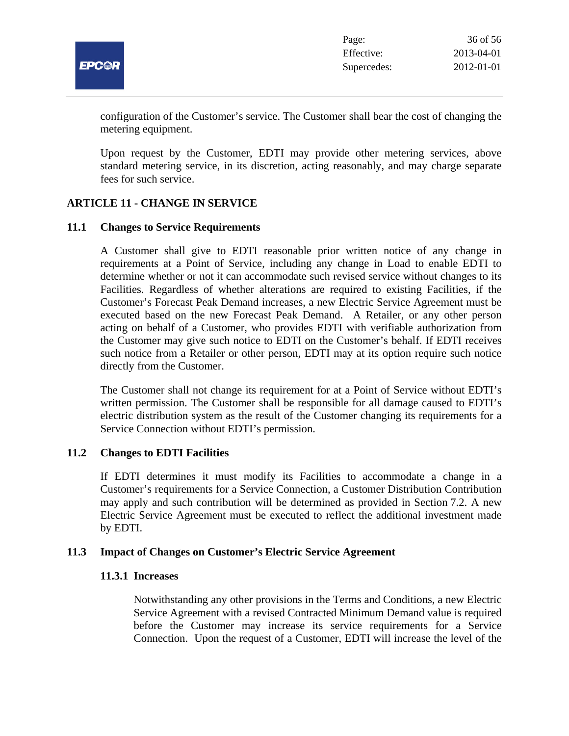

configuration of the Customer's service. The Customer shall bear the cost of changing the metering equipment.

Upon request by the Customer, EDTI may provide other metering services, above standard metering service, in its discretion, acting reasonably, and may charge separate fees for such service.

# **ARTICLE 11 - CHANGE IN SERVICE**

#### **11.1 Changes to Service Requirements**

A Customer shall give to EDTI reasonable prior written notice of any change in requirements at a Point of Service, including any change in Load to enable EDTI to determine whether or not it can accommodate such revised service without changes to its Facilities. Regardless of whether alterations are required to existing Facilities, if the Customer's Forecast Peak Demand increases, a new Electric Service Agreement must be executed based on the new Forecast Peak Demand.A Retailer, or any other person acting on behalf of a Customer, who provides EDTI with verifiable authorization from the Customer may give such notice to EDTI on the Customer's behalf. If EDTI receives such notice from a Retailer or other person, EDTI may at its option require such notice directly from the Customer.

The Customer shall not change its requirement for at a Point of Service without EDTI's written permission. The Customer shall be responsible for all damage caused to EDTI's electric distribution system as the result of the Customer changing its requirements for a Service Connection without EDTI's permission.

# **11.2 Changes to EDTI Facilities**

If EDTI determines it must modify its Facilities to accommodate a change in a Customer's requirements for a Service Connection, a Customer Distribution Contribution may apply and such contribution will be determined as provided in Section 7.2. A new Electric Service Agreement must be executed to reflect the additional investment made by EDTI.

#### **11.3 Impact of Changes on Customer's Electric Service Agreement**

#### **11.3.1 Increases**

Notwithstanding any other provisions in the Terms and Conditions, a new Electric Service Agreement with a revised Contracted Minimum Demand value is required before the Customer may increase its service requirements for a Service Connection. Upon the request of a Customer, EDTI will increase the level of the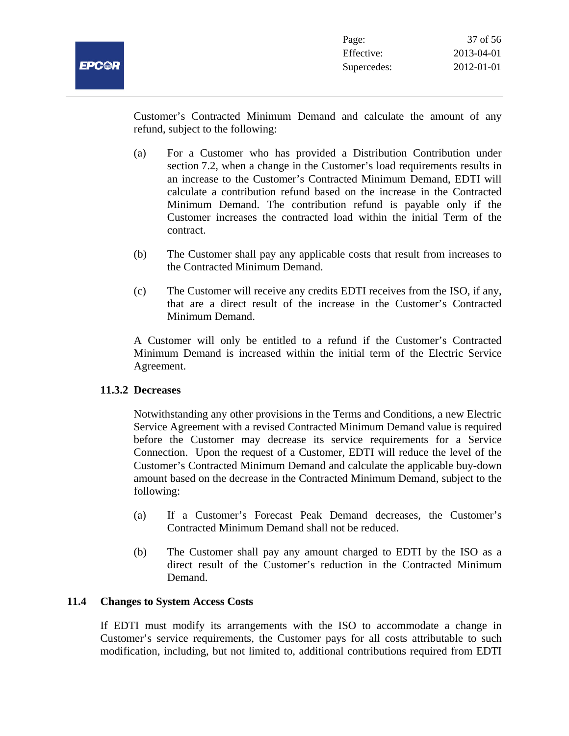Customer's Contracted Minimum Demand and calculate the amount of any refund, subject to the following:

- (a) For a Customer who has provided a Distribution Contribution under section 7.2, when a change in the Customer's load requirements results in an increase to the Customer's Contracted Minimum Demand, EDTI will calculate a contribution refund based on the increase in the Contracted Minimum Demand. The contribution refund is payable only if the Customer increases the contracted load within the initial Term of the contract.
- (b) The Customer shall pay any applicable costs that result from increases to the Contracted Minimum Demand.
- (c) The Customer will receive any credits EDTI receives from the ISO, if any, that are a direct result of the increase in the Customer's Contracted Minimum Demand.

A Customer will only be entitled to a refund if the Customer's Contracted Minimum Demand is increased within the initial term of the Electric Service Agreement.

# **11.3.2 Decreases**

Notwithstanding any other provisions in the Terms and Conditions, a new Electric Service Agreement with a revised Contracted Minimum Demand value is required before the Customer may decrease its service requirements for a Service Connection. Upon the request of a Customer, EDTI will reduce the level of the Customer's Contracted Minimum Demand and calculate the applicable buy-down amount based on the decrease in the Contracted Minimum Demand, subject to the following:

- (a) If a Customer's Forecast Peak Demand decreases, the Customer's Contracted Minimum Demand shall not be reduced.
- (b) The Customer shall pay any amount charged to EDTI by the ISO as a direct result of the Customer's reduction in the Contracted Minimum Demand.

# **11.4 Changes to System Access Costs**

If EDTI must modify its arrangements with the ISO to accommodate a change in Customer's service requirements, the Customer pays for all costs attributable to such modification, including, but not limited to, additional contributions required from EDTI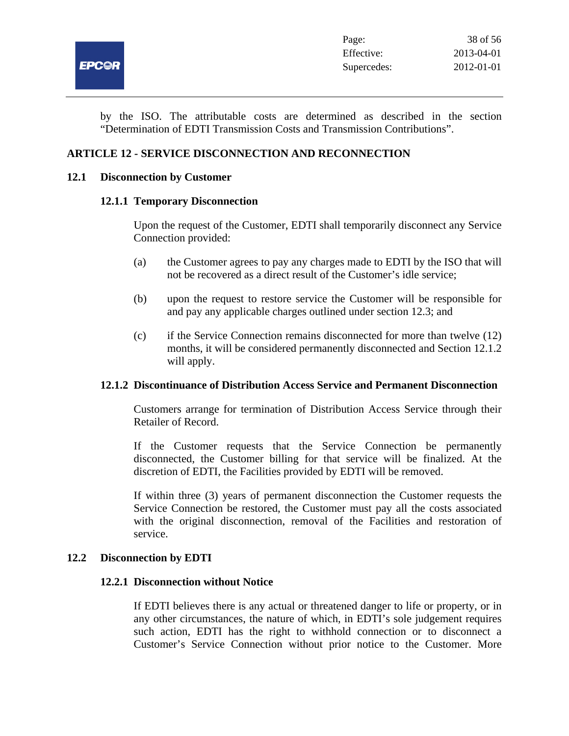

by the ISO. The attributable costs are determined as described in the section "Determination of EDTI Transmission Costs and Transmission Contributions".

# **ARTICLE 12 - SERVICE DISCONNECTION AND RECONNECTION**

#### **12.1 Disconnection by Customer**

#### **12.1.1 Temporary Disconnection**

Upon the request of the Customer, EDTI shall temporarily disconnect any Service Connection provided:

- (a) the Customer agrees to pay any charges made to EDTI by the ISO that will not be recovered as a direct result of the Customer's idle service;
- (b) upon the request to restore service the Customer will be responsible for and pay any applicable charges outlined under section 12.3; and
- (c) if the Service Connection remains disconnected for more than twelve (12) months, it will be considered permanently disconnected and Section 12.1.2 will apply.

# **12.1.2 Discontinuance of Distribution Access Service and Permanent Disconnection**

Customers arrange for termination of Distribution Access Service through their Retailer of Record.

If the Customer requests that the Service Connection be permanently disconnected, the Customer billing for that service will be finalized. At the discretion of EDTI, the Facilities provided by EDTI will be removed.

If within three (3) years of permanent disconnection the Customer requests the Service Connection be restored, the Customer must pay all the costs associated with the original disconnection, removal of the Facilities and restoration of service.

#### **12.2 Disconnection by EDTI**

#### **12.2.1 Disconnection without Notice**

If EDTI believes there is any actual or threatened danger to life or property, or in any other circumstances, the nature of which, in EDTI's sole judgement requires such action, EDTI has the right to withhold connection or to disconnect a Customer's Service Connection without prior notice to the Customer. More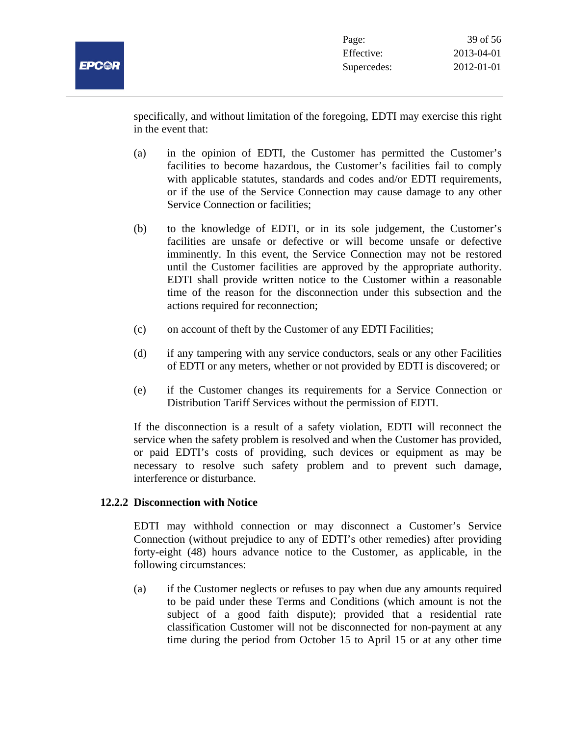

specifically, and without limitation of the foregoing, EDTI may exercise this right in the event that:

- (a) in the opinion of EDTI, the Customer has permitted the Customer's facilities to become hazardous, the Customer's facilities fail to comply with applicable statutes, standards and codes and/or EDTI requirements, or if the use of the Service Connection may cause damage to any other Service Connection or facilities;
- (b) to the knowledge of EDTI, or in its sole judgement, the Customer's facilities are unsafe or defective or will become unsafe or defective imminently. In this event, the Service Connection may not be restored until the Customer facilities are approved by the appropriate authority. EDTI shall provide written notice to the Customer within a reasonable time of the reason for the disconnection under this subsection and the actions required for reconnection;
- (c) on account of theft by the Customer of any EDTI Facilities;
- (d) if any tampering with any service conductors, seals or any other Facilities of EDTI or any meters, whether or not provided by EDTI is discovered; or
- (e) if the Customer changes its requirements for a Service Connection or Distribution Tariff Services without the permission of EDTI.

If the disconnection is a result of a safety violation, EDTI will reconnect the service when the safety problem is resolved and when the Customer has provided, or paid EDTI's costs of providing, such devices or equipment as may be necessary to resolve such safety problem and to prevent such damage, interference or disturbance.

# **12.2.2 Disconnection with Notice**

EDTI may withhold connection or may disconnect a Customer's Service Connection (without prejudice to any of EDTI's other remedies) after providing forty-eight (48) hours advance notice to the Customer, as applicable, in the following circumstances:

(a) if the Customer neglects or refuses to pay when due any amounts required to be paid under these Terms and Conditions (which amount is not the subject of a good faith dispute); provided that a residential rate classification Customer will not be disconnected for non-payment at any time during the period from October 15 to April 15 or at any other time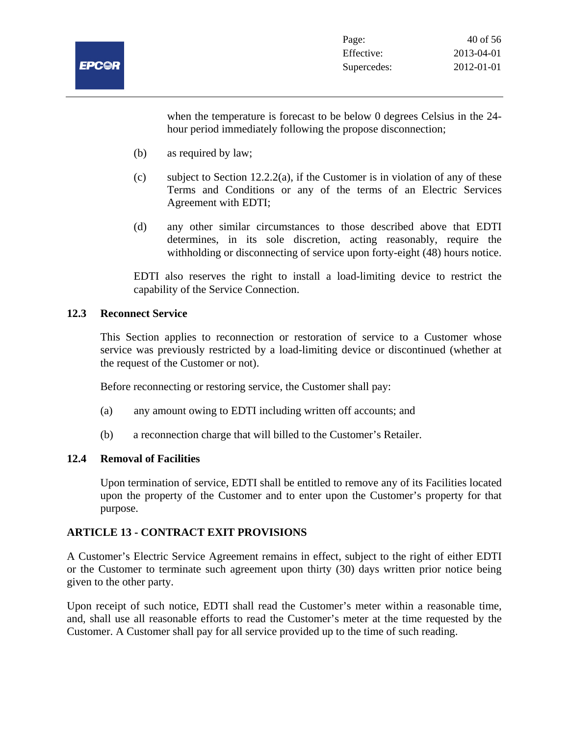

when the temperature is forecast to be below 0 degrees Celsius in the 24 hour period immediately following the propose disconnection;

- (b) as required by law;
- (c) subject to Section 12.2.2(a), if the Customer is in violation of any of these Terms and Conditions or any of the terms of an Electric Services Agreement with EDTI;
- (d) any other similar circumstances to those described above that EDTI determines, in its sole discretion, acting reasonably, require the withholding or disconnecting of service upon forty-eight (48) hours notice.

EDTI also reserves the right to install a load-limiting device to restrict the capability of the Service Connection.

# **12.3 Reconnect Service**

This Section applies to reconnection or restoration of service to a Customer whose service was previously restricted by a load-limiting device or discontinued (whether at the request of the Customer or not).

Before reconnecting or restoring service, the Customer shall pay:

- (a) any amount owing to EDTI including written off accounts; and
- (b) a reconnection charge that will billed to the Customer's Retailer.

# **12.4 Removal of Facilities**

Upon termination of service, EDTI shall be entitled to remove any of its Facilities located upon the property of the Customer and to enter upon the Customer's property for that purpose.

# **ARTICLE 13 - CONTRACT EXIT PROVISIONS**

A Customer's Electric Service Agreement remains in effect, subject to the right of either EDTI or the Customer to terminate such agreement upon thirty (30) days written prior notice being given to the other party.

Upon receipt of such notice, EDTI shall read the Customer's meter within a reasonable time, and, shall use all reasonable efforts to read the Customer's meter at the time requested by the Customer. A Customer shall pay for all service provided up to the time of such reading.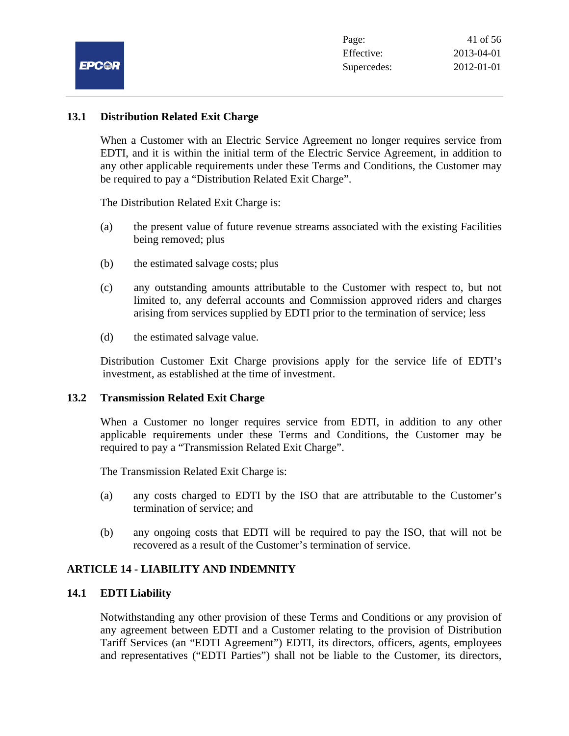

# **13.1 Distribution Related Exit Charge**

When a Customer with an Electric Service Agreement no longer requires service from EDTI, and it is within the initial term of the Electric Service Agreement, in addition to any other applicable requirements under these Terms and Conditions, the Customer may be required to pay a "Distribution Related Exit Charge".

The Distribution Related Exit Charge is:

- (a) the present value of future revenue streams associated with the existing Facilities being removed; plus
- (b) the estimated salvage costs; plus
- (c) any outstanding amounts attributable to the Customer with respect to, but not limited to, any deferral accounts and Commission approved riders and charges arising from services supplied by EDTI prior to the termination of service; less
- (d) the estimated salvage value.

Distribution Customer Exit Charge provisions apply for the service life of EDTI's investment, as established at the time of investment.

#### **13.2 Transmission Related Exit Charge**

When a Customer no longer requires service from EDTI, in addition to any other applicable requirements under these Terms and Conditions, the Customer may be required to pay a "Transmission Related Exit Charge".

The Transmission Related Exit Charge is:

- (a) any costs charged to EDTI by the ISO that are attributable to the Customer's termination of service; and
- (b) any ongoing costs that EDTI will be required to pay the ISO, that will not be recovered as a result of the Customer's termination of service.

# **ARTICLE 14 - LIABILITY AND INDEMNITY**

# **14.1 EDTI Liability**

Notwithstanding any other provision of these Terms and Conditions or any provision of any agreement between EDTI and a Customer relating to the provision of Distribution Tariff Services (an "EDTI Agreement") EDTI, its directors, officers, agents, employees and representatives ("EDTI Parties") shall not be liable to the Customer, its directors,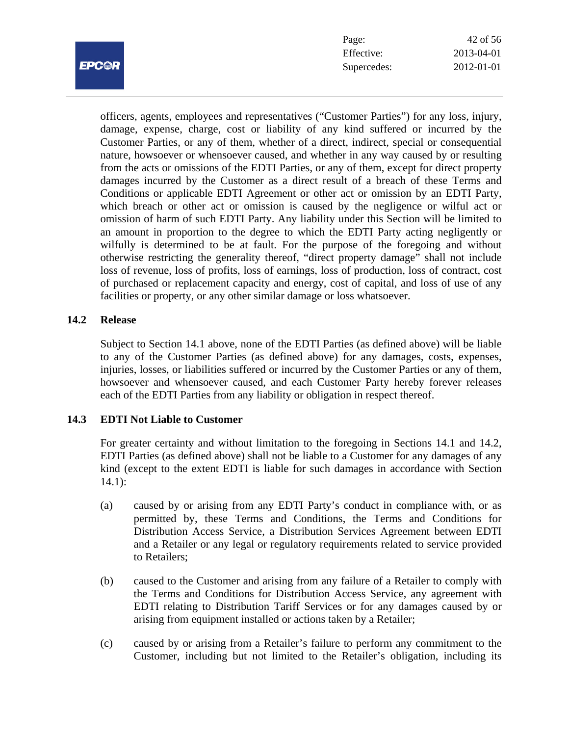

| 42 of 56   |
|------------|
| 2013-04-01 |
| 2012-01-01 |
|            |

officers, agents, employees and representatives ("Customer Parties") for any loss, injury, damage, expense, charge, cost or liability of any kind suffered or incurred by the Customer Parties, or any of them, whether of a direct, indirect, special or consequential nature, howsoever or whensoever caused, and whether in any way caused by or resulting from the acts or omissions of the EDTI Parties, or any of them, except for direct property damages incurred by the Customer as a direct result of a breach of these Terms and Conditions or applicable EDTI Agreement or other act or omission by an EDTI Party, which breach or other act or omission is caused by the negligence or wilful act or omission of harm of such EDTI Party. Any liability under this Section will be limited to an amount in proportion to the degree to which the EDTI Party acting negligently or wilfully is determined to be at fault. For the purpose of the foregoing and without otherwise restricting the generality thereof, "direct property damage" shall not include loss of revenue, loss of profits, loss of earnings, loss of production, loss of contract, cost of purchased or replacement capacity and energy, cost of capital, and loss of use of any facilities or property, or any other similar damage or loss whatsoever.

# **14.2 Release**

Subject to Section 14.1 above, none of the EDTI Parties (as defined above) will be liable to any of the Customer Parties (as defined above) for any damages, costs, expenses, injuries, losses, or liabilities suffered or incurred by the Customer Parties or any of them, howsoever and whensoever caused, and each Customer Party hereby forever releases each of the EDTI Parties from any liability or obligation in respect thereof.

# **14.3 EDTI Not Liable to Customer**

For greater certainty and without limitation to the foregoing in Sections 14.1 and 14.2, EDTI Parties (as defined above) shall not be liable to a Customer for any damages of any kind (except to the extent EDTI is liable for such damages in accordance with Section  $14.1$ :

- (a) caused by or arising from any EDTI Party's conduct in compliance with, or as permitted by, these Terms and Conditions, the Terms and Conditions for Distribution Access Service, a Distribution Services Agreement between EDTI and a Retailer or any legal or regulatory requirements related to service provided to Retailers;
- (b) caused to the Customer and arising from any failure of a Retailer to comply with the Terms and Conditions for Distribution Access Service, any agreement with EDTI relating to Distribution Tariff Services or for any damages caused by or arising from equipment installed or actions taken by a Retailer;
- (c) caused by or arising from a Retailer's failure to perform any commitment to the Customer, including but not limited to the Retailer's obligation, including its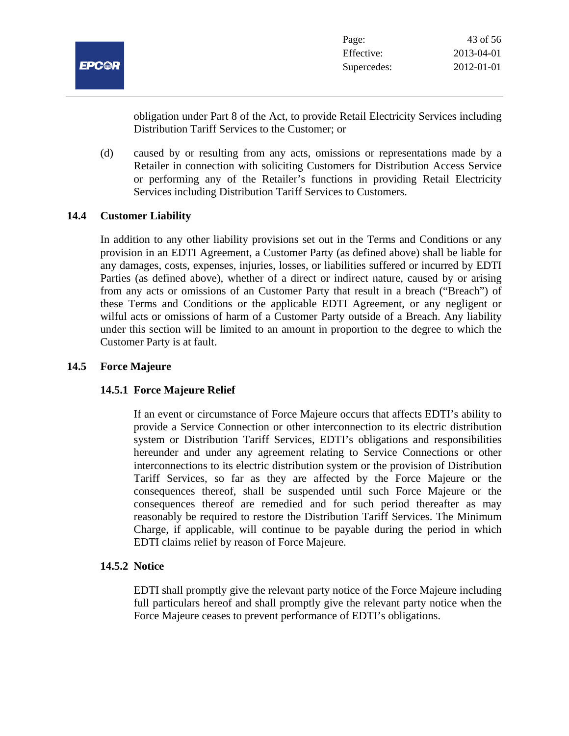

obligation under Part 8 of the Act, to provide Retail Electricity Services including Distribution Tariff Services to the Customer; or

(d) caused by or resulting from any acts, omissions or representations made by a Retailer in connection with soliciting Customers for Distribution Access Service or performing any of the Retailer's functions in providing Retail Electricity Services including Distribution Tariff Services to Customers.

# **14.4 Customer Liability**

In addition to any other liability provisions set out in the Terms and Conditions or any provision in an EDTI Agreement, a Customer Party (as defined above) shall be liable for any damages, costs, expenses, injuries, losses, or liabilities suffered or incurred by EDTI Parties (as defined above), whether of a direct or indirect nature, caused by or arising from any acts or omissions of an Customer Party that result in a breach ("Breach") of these Terms and Conditions or the applicable EDTI Agreement, or any negligent or wilful acts or omissions of harm of a Customer Party outside of a Breach. Any liability under this section will be limited to an amount in proportion to the degree to which the Customer Party is at fault.

#### **14.5 Force Majeure**

# **14.5.1 Force Majeure Relief**

If an event or circumstance of Force Majeure occurs that affects EDTI's ability to provide a Service Connection or other interconnection to its electric distribution system or Distribution Tariff Services, EDTI's obligations and responsibilities hereunder and under any agreement relating to Service Connections or other interconnections to its electric distribution system or the provision of Distribution Tariff Services, so far as they are affected by the Force Majeure or the consequences thereof, shall be suspended until such Force Majeure or the consequences thereof are remedied and for such period thereafter as may reasonably be required to restore the Distribution Tariff Services. The Minimum Charge, if applicable, will continue to be payable during the period in which EDTI claims relief by reason of Force Majeure.

# **14.5.2 Notice**

EDTI shall promptly give the relevant party notice of the Force Majeure including full particulars hereof and shall promptly give the relevant party notice when the Force Majeure ceases to prevent performance of EDTI's obligations.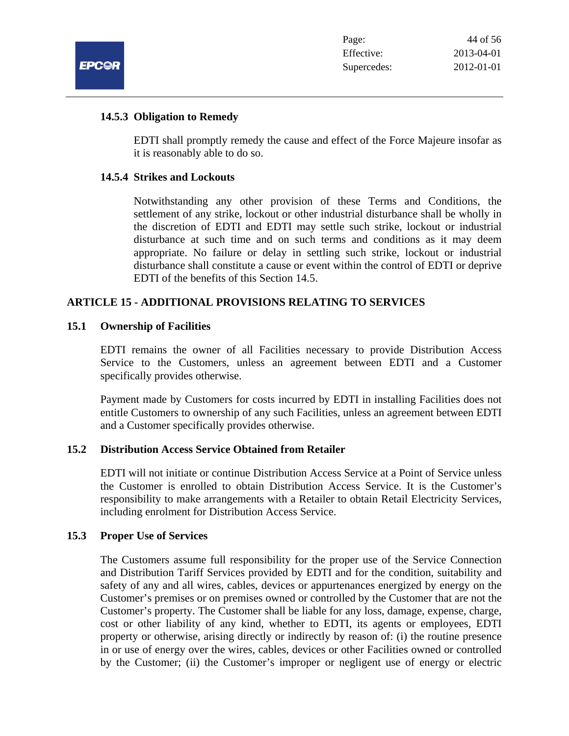

#### **14.5.3 Obligation to Remedy**

EDTI shall promptly remedy the cause and effect of the Force Majeure insofar as it is reasonably able to do so.

#### **14.5.4 Strikes and Lockouts**

Notwithstanding any other provision of these Terms and Conditions, the settlement of any strike, lockout or other industrial disturbance shall be wholly in the discretion of EDTI and EDTI may settle such strike, lockout or industrial disturbance at such time and on such terms and conditions as it may deem appropriate. No failure or delay in settling such strike, lockout or industrial disturbance shall constitute a cause or event within the control of EDTI or deprive EDTI of the benefits of this Section 14.5.

# **ARTICLE 15 - ADDITIONAL PROVISIONS RELATING TO SERVICES**

#### **15.1 Ownership of Facilities**

EDTI remains the owner of all Facilities necessary to provide Distribution Access Service to the Customers, unless an agreement between EDTI and a Customer specifically provides otherwise.

Payment made by Customers for costs incurred by EDTI in installing Facilities does not entitle Customers to ownership of any such Facilities, unless an agreement between EDTI and a Customer specifically provides otherwise.

# **15.2 Distribution Access Service Obtained from Retailer**

EDTI will not initiate or continue Distribution Access Service at a Point of Service unless the Customer is enrolled to obtain Distribution Access Service. It is the Customer's responsibility to make arrangements with a Retailer to obtain Retail Electricity Services, including enrolment for Distribution Access Service.

#### **15.3 Proper Use of Services**

The Customers assume full responsibility for the proper use of the Service Connection and Distribution Tariff Services provided by EDTI and for the condition, suitability and safety of any and all wires, cables, devices or appurtenances energized by energy on the Customer's premises or on premises owned or controlled by the Customer that are not the Customer's property. The Customer shall be liable for any loss, damage, expense, charge, cost or other liability of any kind, whether to EDTI, its agents or employees, EDTI property or otherwise, arising directly or indirectly by reason of: (i) the routine presence in or use of energy over the wires, cables, devices or other Facilities owned or controlled by the Customer; (ii) the Customer's improper or negligent use of energy or electric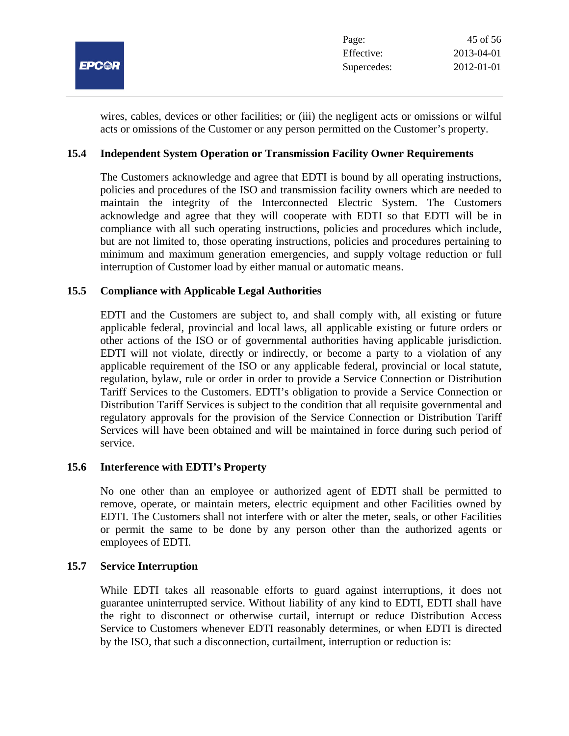

wires, cables, devices or other facilities; or (iii) the negligent acts or omissions or wilful acts or omissions of the Customer or any person permitted on the Customer's property.

# **15.4 Independent System Operation or Transmission Facility Owner Requirements**

The Customers acknowledge and agree that EDTI is bound by all operating instructions, policies and procedures of the ISO and transmission facility owners which are needed to maintain the integrity of the Interconnected Electric System. The Customers acknowledge and agree that they will cooperate with EDTI so that EDTI will be in compliance with all such operating instructions, policies and procedures which include, but are not limited to, those operating instructions, policies and procedures pertaining to minimum and maximum generation emergencies, and supply voltage reduction or full interruption of Customer load by either manual or automatic means.

# **15.5 Compliance with Applicable Legal Authorities**

EDTI and the Customers are subject to, and shall comply with, all existing or future applicable federal, provincial and local laws, all applicable existing or future orders or other actions of the ISO or of governmental authorities having applicable jurisdiction. EDTI will not violate, directly or indirectly, or become a party to a violation of any applicable requirement of the ISO or any applicable federal, provincial or local statute, regulation, bylaw, rule or order in order to provide a Service Connection or Distribution Tariff Services to the Customers. EDTI's obligation to provide a Service Connection or Distribution Tariff Services is subject to the condition that all requisite governmental and regulatory approvals for the provision of the Service Connection or Distribution Tariff Services will have been obtained and will be maintained in force during such period of service.

# **15.6 Interference with EDTI's Property**

No one other than an employee or authorized agent of EDTI shall be permitted to remove, operate, or maintain meters, electric equipment and other Facilities owned by EDTI. The Customers shall not interfere with or alter the meter, seals, or other Facilities or permit the same to be done by any person other than the authorized agents or employees of EDTI.

# **15.7 Service Interruption**

While EDTI takes all reasonable efforts to guard against interruptions, it does not guarantee uninterrupted service. Without liability of any kind to EDTI, EDTI shall have the right to disconnect or otherwise curtail, interrupt or reduce Distribution Access Service to Customers whenever EDTI reasonably determines, or when EDTI is directed by the ISO, that such a disconnection, curtailment, interruption or reduction is: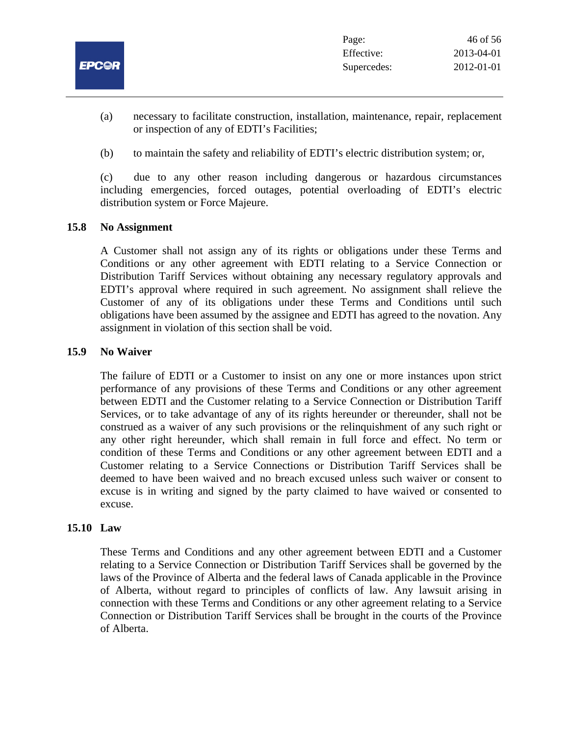

- (a) necessary to facilitate construction, installation, maintenance, repair, replacement or inspection of any of EDTI's Facilities;
- (b) to maintain the safety and reliability of EDTI's electric distribution system; or,

(c) due to any other reason including dangerous or hazardous circumstances including emergencies, forced outages, potential overloading of EDTI's electric distribution system or Force Majeure.

# **15.8 No Assignment**

A Customer shall not assign any of its rights or obligations under these Terms and Conditions or any other agreement with EDTI relating to a Service Connection or Distribution Tariff Services without obtaining any necessary regulatory approvals and EDTI's approval where required in such agreement. No assignment shall relieve the Customer of any of its obligations under these Terms and Conditions until such obligations have been assumed by the assignee and EDTI has agreed to the novation. Any assignment in violation of this section shall be void.

#### **15.9 No Waiver**

The failure of EDTI or a Customer to insist on any one or more instances upon strict performance of any provisions of these Terms and Conditions or any other agreement between EDTI and the Customer relating to a Service Connection or Distribution Tariff Services, or to take advantage of any of its rights hereunder or thereunder, shall not be construed as a waiver of any such provisions or the relinquishment of any such right or any other right hereunder, which shall remain in full force and effect. No term or condition of these Terms and Conditions or any other agreement between EDTI and a Customer relating to a Service Connections or Distribution Tariff Services shall be deemed to have been waived and no breach excused unless such waiver or consent to excuse is in writing and signed by the party claimed to have waived or consented to excuse.

# **15.10 Law**

These Terms and Conditions and any other agreement between EDTI and a Customer relating to a Service Connection or Distribution Tariff Services shall be governed by the laws of the Province of Alberta and the federal laws of Canada applicable in the Province of Alberta, without regard to principles of conflicts of law. Any lawsuit arising in connection with these Terms and Conditions or any other agreement relating to a Service Connection or Distribution Tariff Services shall be brought in the courts of the Province of Alberta.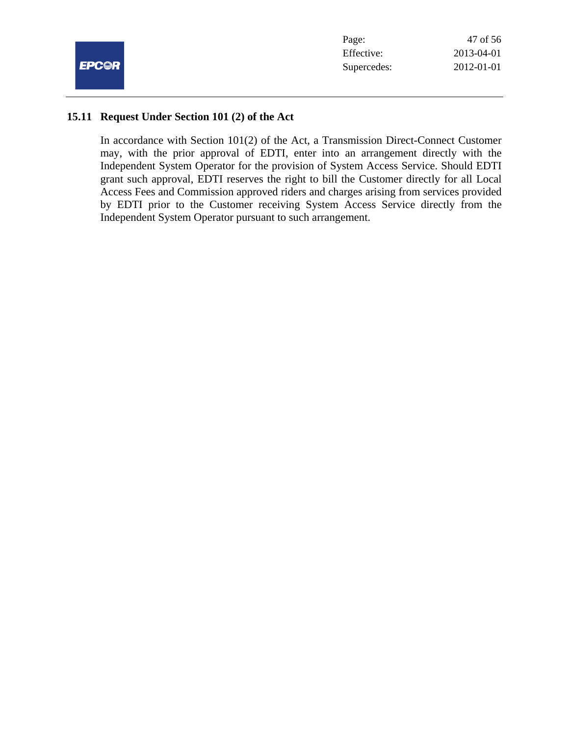

| 47 of 56   |
|------------|
| 2013-04-01 |
| 2012-01-01 |
|            |

#### **15.11 Request Under Section 101 (2) of the Act**

In accordance with Section 101(2) of the Act, a Transmission Direct-Connect Customer may, with the prior approval of EDTI, enter into an arrangement directly with the Independent System Operator for the provision of System Access Service. Should EDTI grant such approval, EDTI reserves the right to bill the Customer directly for all Local Access Fees and Commission approved riders and charges arising from services provided by EDTI prior to the Customer receiving System Access Service directly from the Independent System Operator pursuant to such arrangement.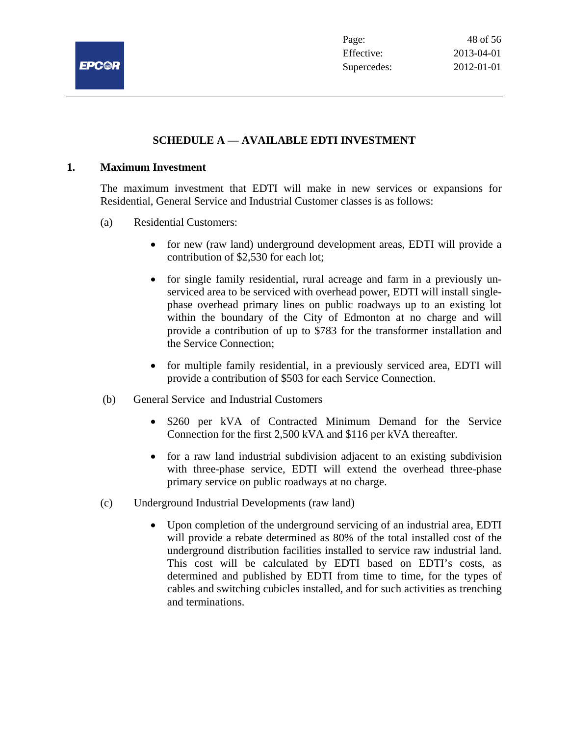

# **SCHEDULE A — AVAILABLE EDTI INVESTMENT**

#### **1. Maximum Investment**

The maximum investment that EDTI will make in new services or expansions for Residential, General Service and Industrial Customer classes is as follows:

- (a) Residential Customers:
	- for new (raw land) underground development areas, EDTI will provide a contribution of \$2,530 for each lot;
	- for single family residential, rural acreage and farm in a previously unserviced area to be serviced with overhead power, EDTI will install singlephase overhead primary lines on public roadways up to an existing lot within the boundary of the City of Edmonton at no charge and will provide a contribution of up to \$783 for the transformer installation and the Service Connection;
	- for multiple family residential, in a previously serviced area, EDTI will provide a contribution of \$503 for each Service Connection.
- (b) General Service and Industrial Customers
	- \$260 per kVA of Contracted Minimum Demand for the Service Connection for the first 2,500 kVA and \$116 per kVA thereafter.
	- for a raw land industrial subdivision adjacent to an existing subdivision with three-phase service, EDTI will extend the overhead three-phase primary service on public roadways at no charge.
- (c) Underground Industrial Developments (raw land)
	- Upon completion of the underground servicing of an industrial area, EDTI will provide a rebate determined as 80% of the total installed cost of the underground distribution facilities installed to service raw industrial land. This cost will be calculated by EDTI based on EDTI's costs, as determined and published by EDTI from time to time, for the types of cables and switching cubicles installed, and for such activities as trenching and terminations.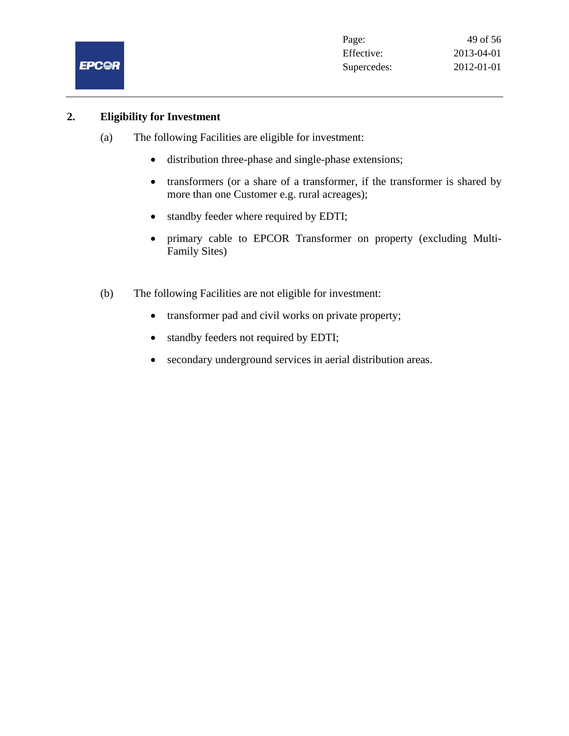

# **2. Eligibility for Investment**

- (a) The following Facilities are eligible for investment:
	- distribution three-phase and single-phase extensions;
	- transformers (or a share of a transformer, if the transformer is shared by more than one Customer e.g. rural acreages);
	- standby feeder where required by EDTI;
	- primary cable to EPCOR Transformer on property (excluding Multi-Family Sites)
- (b) The following Facilities are not eligible for investment:
	- transformer pad and civil works on private property;
	- standby feeders not required by EDTI;
	- secondary underground services in aerial distribution areas.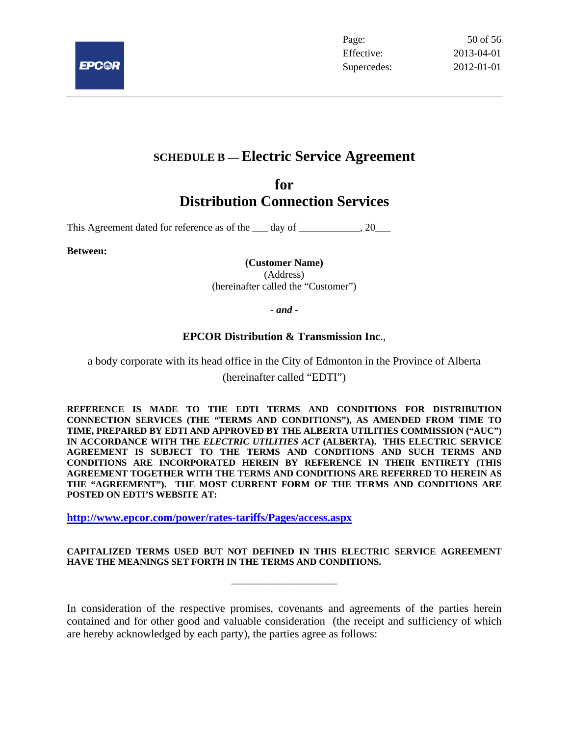

# **SCHEDULE B — Electric Service Agreement**

# **for Distribution Connection Services**

This Agreement dated for reference as of the day of  $\qquad \qquad .20$ 

**Between:** 

**(Customer Name)** 

(Address)

(hereinafter called the "Customer")

*- and -* 

# **EPCOR Distribution & Transmission Inc**.,

a body corporate with its head office in the City of Edmonton in the Province of Alberta (hereinafter called "EDTI")

**REFERENCE IS MADE TO THE EDTI TERMS AND CONDITIONS FOR DISTRIBUTION CONNECTION SERVICES (THE "TERMS AND CONDITIONS"), AS AMENDED FROM TIME TO TIME, PREPARED BY EDTI AND APPROVED BY THE ALBERTA UTILITIES COMMISSION ("AUC") IN ACCORDANCE WITH THE** *ELECTRIC UTILITIES ACT* **(ALBERTA). THIS ELECTRIC SERVICE AGREEMENT IS SUBJECT TO THE TERMS AND CONDITIONS AND SUCH TERMS AND CONDITIONS ARE INCORPORATED HEREIN BY REFERENCE IN THEIR ENTIRETY (THIS AGREEMENT TOGETHER WITH THE TERMS AND CONDITIONS ARE REFERRED TO HEREIN AS THE "AGREEMENT"). THE MOST CURRENT FORM OF THE TERMS AND CONDITIONS ARE POSTED ON EDTI'S WEBSITE AT:** 

**http://www.epcor.com/power/rates-tariffs/Pages/access.aspx**

#### **CAPITALIZED TERMS USED BUT NOT DEFINED IN THIS ELECTRIC SERVICE AGREEMENT HAVE THE MEANINGS SET FORTH IN THE TERMS AND CONDITIONS.**

\_\_\_\_\_\_\_\_\_\_\_\_\_\_\_\_\_\_\_

In consideration of the respective promises, covenants and agreements of the parties herein contained and for other good and valuable consideration (the receipt and sufficiency of which are hereby acknowledged by each party), the parties agree as follows: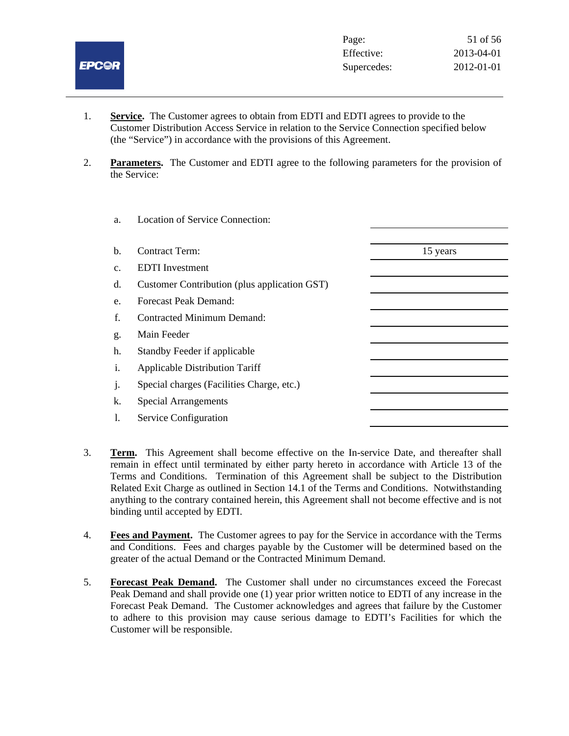

- 1. **Service.** The Customer agrees to obtain from EDTI and EDTI agrees to provide to the Customer Distribution Access Service in relation to the Service Connection specified below (the "Service") in accordance with the provisions of this Agreement.
- 2. **Parameters.** The Customer and EDTI agree to the following parameters for the provision of the Service:

| a.             | <b>Location of Service Connection:</b>       |          |
|----------------|----------------------------------------------|----------|
|                |                                              |          |
| b.             | <b>Contract Term:</b>                        | 15 years |
| c.             | <b>EDTI</b> Investment                       |          |
| d.             | Customer Contribution (plus application GST) |          |
| e.             | <b>Forecast Peak Demand:</b>                 |          |
| f.             | <b>Contracted Minimum Demand:</b>            |          |
| g.             | Main Feeder                                  |          |
| h.             | Standby Feeder if applicable                 |          |
| $\mathbf{i}$ . | <b>Applicable Distribution Tariff</b>        |          |
| j.             | Special charges (Facilities Charge, etc.)    |          |
| k.             | <b>Special Arrangements</b>                  |          |
| 1.             | Service Configuration                        |          |
|                |                                              |          |

- 3. **Term.** This Agreement shall become effective on the In-service Date, and thereafter shall remain in effect until terminated by either party hereto in accordance with Article 13 of the Terms and Conditions. Termination of this Agreement shall be subject to the Distribution Related Exit Charge as outlined in Section 14.1 of the Terms and Conditions. Notwithstanding anything to the contrary contained herein, this Agreement shall not become effective and is not binding until accepted by EDTI.
- 4. **Fees and Payment.** The Customer agrees to pay for the Service in accordance with the Terms and Conditions. Fees and charges payable by the Customer will be determined based on the greater of the actual Demand or the Contracted Minimum Demand.
- 5. **Forecast Peak Demand.** The Customer shall under no circumstances exceed the Forecast Peak Demand and shall provide one (1) year prior written notice to EDTI of any increase in the Forecast Peak Demand. The Customer acknowledges and agrees that failure by the Customer to adhere to this provision may cause serious damage to EDTI's Facilities for which the Customer will be responsible.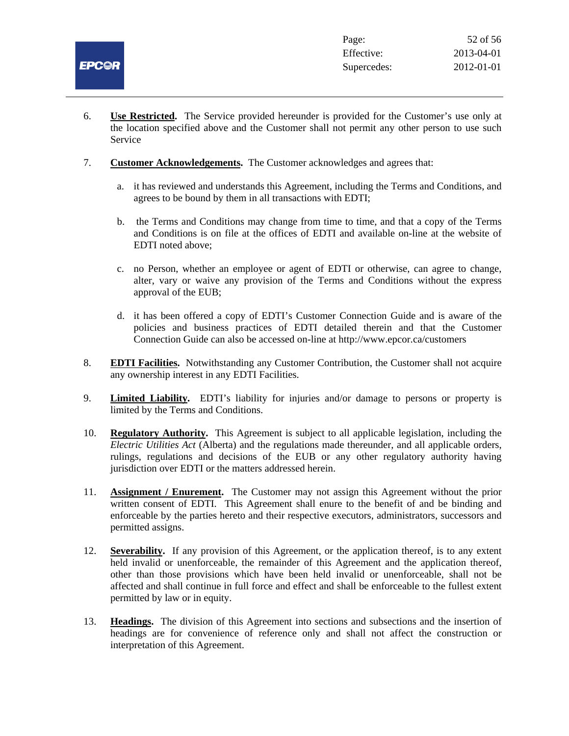

- 6. **Use Restricted.** The Service provided hereunder is provided for the Customer's use only at the location specified above and the Customer shall not permit any other person to use such Service
- 7. **Customer Acknowledgements.** The Customer acknowledges and agrees that:
	- a. it has reviewed and understands this Agreement, including the Terms and Conditions, and agrees to be bound by them in all transactions with EDTI;
	- b. the Terms and Conditions may change from time to time, and that a copy of the Terms and Conditions is on file at the offices of EDTI and available on-line at the website of EDTI noted above;
	- c. no Person, whether an employee or agent of EDTI or otherwise, can agree to change, alter, vary or waive any provision of the Terms and Conditions without the express approval of the EUB;
	- d. it has been offered a copy of EDTI's Customer Connection Guide and is aware of the policies and business practices of EDTI detailed therein and that the Customer Connection Guide can also be accessed on-line at http://www.epcor.ca/customers
- 8. **EDTI Facilities.** Notwithstanding any Customer Contribution, the Customer shall not acquire any ownership interest in any EDTI Facilities.
- 9. **Limited Liability.** EDTI's liability for injuries and/or damage to persons or property is limited by the Terms and Conditions.
- 10. **Regulatory Authority.** This Agreement is subject to all applicable legislation, including the *Electric Utilities Act* (Alberta) and the regulations made thereunder, and all applicable orders, rulings, regulations and decisions of the EUB or any other regulatory authority having jurisdiction over EDTI or the matters addressed herein.
- 11. **Assignment / Enurement.** The Customer may not assign this Agreement without the prior written consent of EDTI. This Agreement shall enure to the benefit of and be binding and enforceable by the parties hereto and their respective executors, administrators, successors and permitted assigns.
- 12. **Severability.** If any provision of this Agreement, or the application thereof, is to any extent held invalid or unenforceable, the remainder of this Agreement and the application thereof, other than those provisions which have been held invalid or unenforceable, shall not be affected and shall continue in full force and effect and shall be enforceable to the fullest extent permitted by law or in equity.
- 13. **Headings.** The division of this Agreement into sections and subsections and the insertion of headings are for convenience of reference only and shall not affect the construction or interpretation of this Agreement.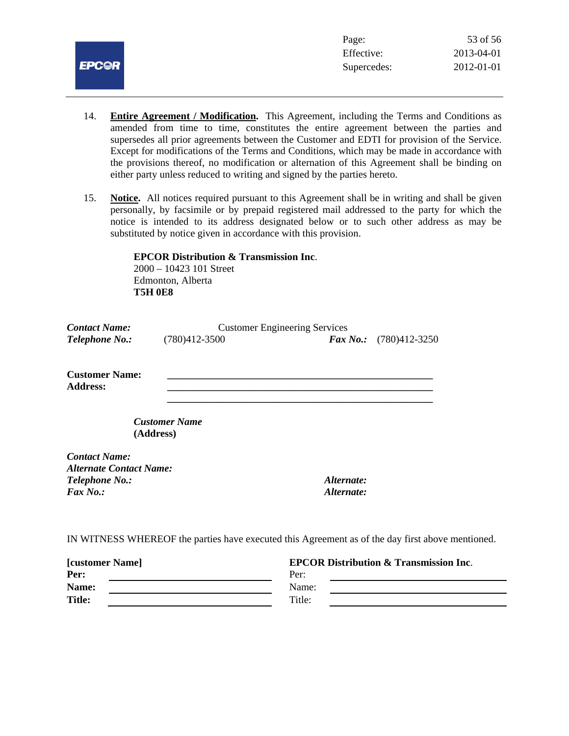

- 14. **Entire Agreement / Modification.** This Agreement, including the Terms and Conditions as amended from time to time, constitutes the entire agreement between the parties and supersedes all prior agreements between the Customer and EDTI for provision of the Service. Except for modifications of the Terms and Conditions, which may be made in accordance with the provisions thereof, no modification or alternation of this Agreement shall be binding on either party unless reduced to writing and signed by the parties hereto.
- 15. **Notice.** All notices required pursuant to this Agreement shall be in writing and shall be given personally, by facsimile or by prepaid registered mail addressed to the party for which the notice is intended to its address designated below or to such other address as may be substituted by notice given in accordance with this provision.

 **EPCOR Distribution & Transmission Inc**. 2000 – 10423 101 Street

 Edmonton, Alberta  **T5H 0E8**

| <b>Contact Name:</b>                                   | <b>Customer Engineering Services</b> |                                                                                                  |  |
|--------------------------------------------------------|--------------------------------------|--------------------------------------------------------------------------------------------------|--|
| Telephone No.:                                         | $(780)412 - 3500$                    | $\boldsymbol{Fax\,No.}$ :<br>$(780)412 - 3250$                                                   |  |
| <b>Customer Name:</b><br><b>Address:</b>               |                                      |                                                                                                  |  |
| (Address)                                              | <b>Customer Name</b>                 |                                                                                                  |  |
| <b>Contact Name:</b><br><b>Alternate Contact Name:</b> |                                      |                                                                                                  |  |
| <b>Telephone No.:</b>                                  |                                      | Alternate:                                                                                       |  |
| $\boldsymbol{F}$ ax No.:                               |                                      | Alternate:                                                                                       |  |
|                                                        |                                      | IN WITNESS WHEREOF the parties have executed this Agreement as of the day first above mentioned. |  |

| <b>[customer Name]</b> | <b>EPCOR Distribution &amp; Transmission Inc.</b> |  |
|------------------------|---------------------------------------------------|--|
| Per:                   | Per:                                              |  |
| Name:                  | Name:                                             |  |
| <b>Title:</b>          | Title:                                            |  |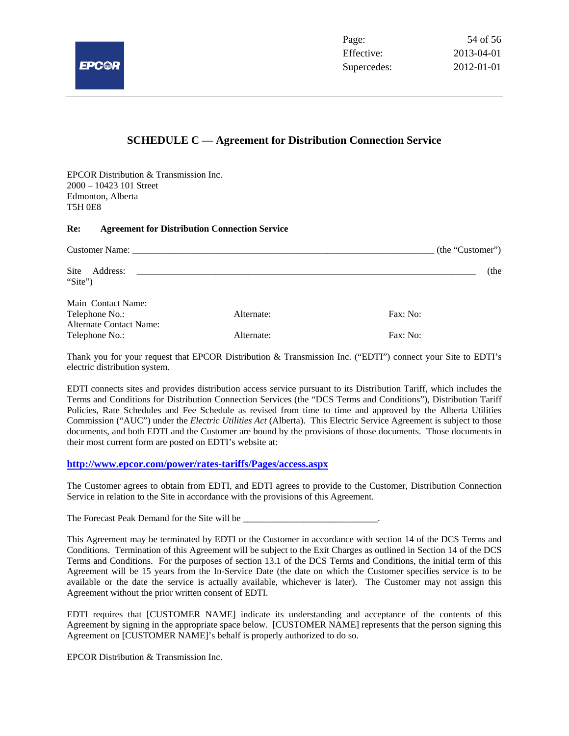

#### **SCHEDULE C — Agreement for Distribution Connection Service**

EPCOR Distribution & Transmission Inc. 2000 – 10423 101 Street Edmonton, Alberta T5H 0E8

#### **Re: Agreement for Distribution Connection Service**

| <b>Customer Name:</b> The Customer Name:                        |            | (the "Customer") |
|-----------------------------------------------------------------|------------|------------------|
| Site<br>Address:<br>"Site")                                     |            | (the             |
| Main Contact Name:<br>Telephone No.:<br>Alternate Contact Name: | Alternate: | Fax: No:         |
| Telephone No.:                                                  | Alternate: | Fax: No:         |

Thank you for your request that EPCOR Distribution & Transmission Inc. ("EDTI") connect your Site to EDTI's electric distribution system.

EDTI connects sites and provides distribution access service pursuant to its Distribution Tariff, which includes the Terms and Conditions for Distribution Connection Services (the "DCS Terms and Conditions"), Distribution Tariff Policies, Rate Schedules and Fee Schedule as revised from time to time and approved by the Alberta Utilities Commission ("AUC") under the *Electric Utilities Act* (Alberta). This Electric Service Agreement is subject to those documents, and both EDTI and the Customer are bound by the provisions of those documents. Those documents in their most current form are posted on EDTI's website at:

#### **http://www.epcor.com/power/rates-tariffs/Pages/access.aspx**

The Customer agrees to obtain from EDTI, and EDTI agrees to provide to the Customer, Distribution Connection Service in relation to the Site in accordance with the provisions of this Agreement.

The Forecast Peak Demand for the Site will be \_\_\_\_\_\_\_\_\_\_\_\_\_\_\_\_\_\_\_\_\_\_\_\_\_\_\_\_\_.

This Agreement may be terminated by EDTI or the Customer in accordance with section 14 of the DCS Terms and Conditions. Termination of this Agreement will be subject to the Exit Charges as outlined in Section 14 of the DCS Terms and Conditions. For the purposes of section 13.1 of the DCS Terms and Conditions, the initial term of this Agreement will be 15 years from the In-Service Date (the date on which the Customer specifies service is to be available or the date the service is actually available, whichever is later). The Customer may not assign this Agreement without the prior written consent of EDTI.

EDTI requires that [CUSTOMER NAME] indicate its understanding and acceptance of the contents of this Agreement by signing in the appropriate space below. [CUSTOMER NAME] represents that the person signing this Agreement on [CUSTOMER NAME]'s behalf is properly authorized to do so.

EPCOR Distribution & Transmission Inc.